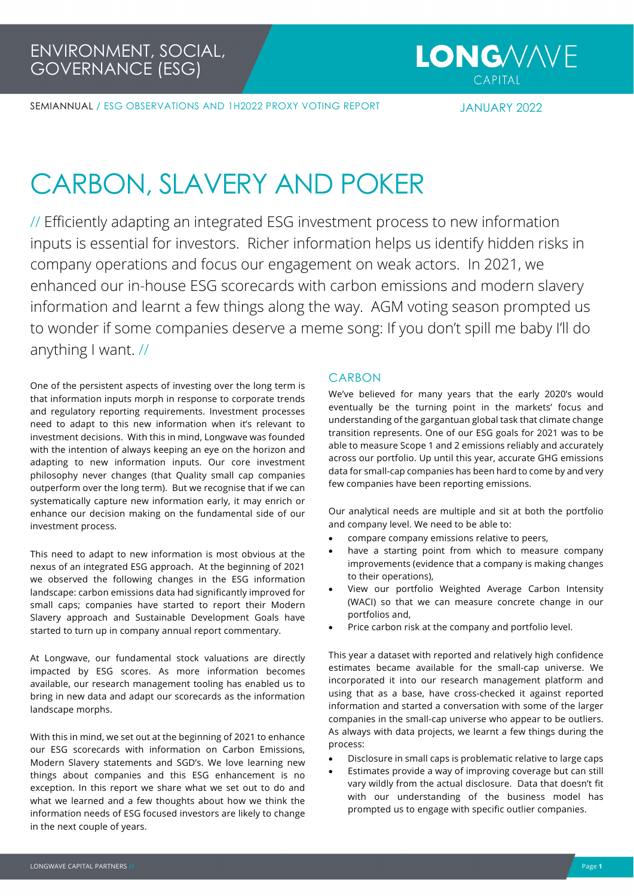SEMIANNUAL / ESG OBSERVATIONS AND 1H2022 PROXY VOTING REPORT JANUARY 2022

## CARBON, SLAVERY AND POKER

// Efficiently adapting an integrated ESG investment process to new information inputs is essential for investors. Richer information helps us identify hidden risks in company operations and focus our engagement on weak actors. In 2021, we enhanced our in-house ESG scorecards with carbon emissions and modern slavery information and learnt a few things along the way. AGM voting season prompted us to wonder if some companies deserve a meme song: If you don't spill me baby I'll do anything I want. //

One of the persistent aspects of investing over the long term is that information inputs morph in response to corporate trends and regulatory reporting requirements. Investment processes need to adapt to this new information when it's relevant to investment decisions. With this in mind, Longwave was founded with the intention of always keeping an eye on the horizon and adapting to new information inputs. Our core investment philosophy never changes (that Quality small cap companies outperform over the long term). But we recognise that if we can systematically capture new information early, it may enrich or enhance our decision making on the fundamental side of our investment process.

This need to adapt to new information is most obvious at the nexus of an integrated ESG approach. At the beginning of 2021 we observed the following changes in the ESG information landscape: carbon emissions data had significantly improved for small caps; companies have started to report their Modern Slavery approach and Sustainable Development Goals have started to turn up in company annual report commentary.

At Longwave, our fundamental stock valuations are directly impacted by ESG scores. As more information becomes available, our research management tooling has enabled us to bring in new data and adapt our scorecards as the information landscape morphs.

With this in mind, we set out at the beginning of 2021 to enhance our ESG scorecards with information on Carbon Emissions, Modern Slavery statements and SGD's. We love learning new things about companies and this ESG enhancement is no exception. In this report we share what we set out to do and what we learned and a few thoughts about how we think the information needs of ESG focused investors are likely to change in the next couple of years.

#### CARBON

We've believed for many years that the early 2020's would eventually be the turning point in the markets' focus and understanding of the gargantuan global task that climate change transition represents. One of our ESG goals for 2021 was to be able to measure Scope 1 and 2 emissions reliably and accurately across our portfolio. Up until this year, accurate GHG emissions data for small-cap companies has been hard to come by and very few companies have been reporting emissions.

Our analytical needs are multiple and sit at both the portfolio and company level. We need to be able to:

- compare company emissions relative to peers,
- have a starting point from which to measure company improvements (evidence that a company is making changes to their operations),
- View our portfolio Weighted Average Carbon Intensity (WACI) so that we can measure concrete change in our portfolios and,
- Price carbon risk at the company and portfolio level.

This year a dataset with reported and relatively high confidence estimates became available for the small-cap universe. We incorporated it into our research management platform and using that as a base, have cross-checked it against reported information and started a conversation with some of the larger companies in the small-cap universe who appear to be outliers. As always with data projects, we learnt a few things during the process:

- Disclosure in small caps is problematic relative to large caps
- Estimates provide a way of improving coverage but can still vary wildly from the actual disclosure. Data that doesn't fit with our understanding of the business model has prompted us to engage with specific outlier companies.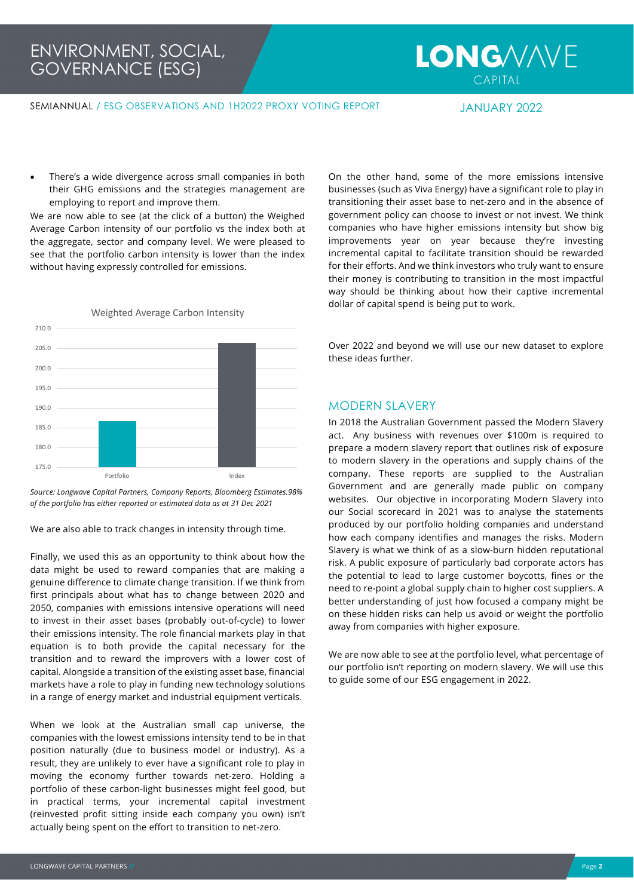# **LONG/V/N/E**

SEMIANNUAL / ESG OBSERVATIONS AND 1H2022 PROXY VOTING REPORT JANUARY 2022

There's a wide divergence across small companies in both their GHG emissions and the strategies management are employing to report and improve them.

We are now able to see (at the click of a button) the Weighed Average Carbon intensity of our portfolio vs the index both at the aggregate, sector and company level. We were pleased to see that the portfolio carbon intensity is lower than the index without having expressly controlled for emissions.



*Source: Longwave Capital Partners, Company Reports, Bloomberg Estimates.98% of the portfolio has either reported or estimated data as at 31 Dec 2021*

We are also able to track changes in intensity through time.

Finally, we used this as an opportunity to think about how the data might be used to reward companies that are making a genuine difference to climate change transition. If we think from first principals about what has to change between 2020 and 2050, companies with emissions intensive operations will need to invest in their asset bases (probably out-of-cycle) to lower their emissions intensity. The role financial markets play in that equation is to both provide the capital necessary for the transition and to reward the improvers with a lower cost of capital. Alongside a transition of the existing asset base, financial markets have a role to play in funding new technology solutions in a range of energy market and industrial equipment verticals.

When we look at the Australian small cap universe, the companies with the lowest emissions intensity tend to be in that position naturally (due to business model or industry). As a result, they are unlikely to ever have a significant role to play in moving the economy further towards net-zero. Holding a portfolio of these carbon-light businesses might feel good, but in practical terms, your incremental capital investment (reinvested profit sitting inside each company you own) isn't actually being spent on the effort to transition to net-zero.

On the other hand, some of the more emissions intensive businesses (such as Viva Energy) have a significant role to play in transitioning their asset base to net-zero and in the absence of government policy can choose to invest or not invest. We think companies who have higher emissions intensity but show big improvements year on year because they're investing incremental capital to facilitate transition should be rewarded for their efforts. And we think investors who truly want to ensure their money is contributing to transition in the most impactful way should be thinking about how their captive incremental dollar of capital spend is being put to work.

Over 2022 and beyond we will use our new dataset to explore these ideas further.

#### MODERN SLAVERY

In 2018 the Australian Government passed the Modern Slavery act. Any business with revenues over \$100m is required to prepare a modern slavery report that outlines risk of exposure to modern slavery in the operations and supply chains of the company. These reports are supplied to the Australian Government and are generally made public on company websites. Our objective in incorporating Modern Slavery into our Social scorecard in 2021 was to analyse the statements produced by our portfolio holding companies and understand how each company identifies and manages the risks. Modern Slavery is what we think of as a slow-burn hidden reputational risk. A public exposure of particularly bad corporate actors has the potential to lead to large customer boycotts, fines or the need to re-point a global supply chain to higher cost suppliers. A better understanding of just how focused a company might be on these hidden risks can help us avoid or weight the portfolio away from companies with higher exposure.

We are now able to see at the portfolio level, what percentage of our portfolio isn't reporting on modern slavery. We will use this to guide some of our ESG engagement in 2022.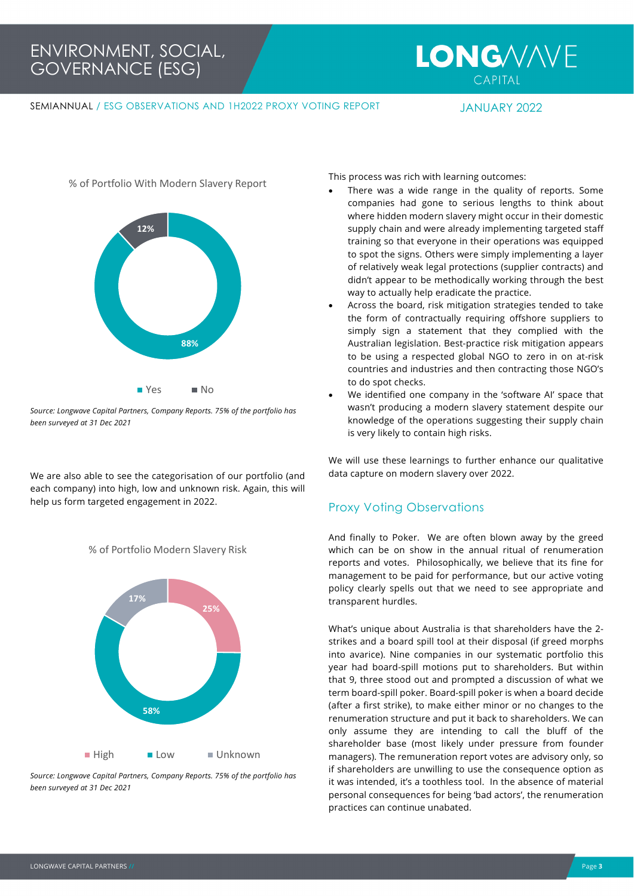### ENVIRONMENT, SOCIAL, GOVERNANCE (ESG)

## **LONG/V/N/E**

#### SEMIANNUAL / ESG OBSERVATIONS AND 1H2022 PROXY VOTING REPORT JANUARY 2022



*Source: Longwave Capital Partners, Company Reports. 75% of the portfolio has been surveyed at 31 Dec 2021*

We are also able to see the categorisation of our portfolio (and each company) into high, low and unknown risk. Again, this will help us form targeted engagement in 2022.





*Source: Longwave Capital Partners, Company Reports. 75% of the portfolio has been surveyed at 31 Dec 2021*

This process was rich with learning outcomes:

- There was a wide range in the quality of reports. Some companies had gone to serious lengths to think about where hidden modern slavery might occur in their domestic supply chain and were already implementing targeted staff training so that everyone in their operations was equipped to spot the signs. Others were simply implementing a layer of relatively weak legal protections (supplier contracts) and didn't appear to be methodically working through the best way to actually help eradicate the practice.
- Across the board, risk mitigation strategies tended to take the form of contractually requiring offshore suppliers to simply sign a statement that they complied with the Australian legislation. Best-practice risk mitigation appears to be using a respected global NGO to zero in on at-risk countries and industries and then contracting those NGO's to do spot checks.
- We identified one company in the 'software AI' space that wasn't producing a modern slavery statement despite our knowledge of the operations suggesting their supply chain is very likely to contain high risks.

We will use these learnings to further enhance our qualitative data capture on modern slavery over 2022.

#### Proxy Voting Observations

And finally to Poker. We are often blown away by the greed which can be on show in the annual ritual of renumeration reports and votes. Philosophically, we believe that its fine for management to be paid for performance, but our active voting policy clearly spells out that we need to see appropriate and transparent hurdles.

What's unique about Australia is that shareholders have the 2 strikes and a board spill tool at their disposal (if greed morphs into avarice). Nine companies in our systematic portfolio this year had board-spill motions put to shareholders. But within that 9, three stood out and prompted a discussion of what we term board-spill poker. Board-spill poker is when a board decide (after a first strike), to make either minor or no changes to the renumeration structure and put it back to shareholders. We can only assume they are intending to call the bluff of the shareholder base (most likely under pressure from founder managers). The remuneration report votes are advisory only, so if shareholders are unwilling to use the consequence option as it was intended, it's a toothless tool. In the absence of material personal consequences for being 'bad actors', the renumeration practices can continue unabated.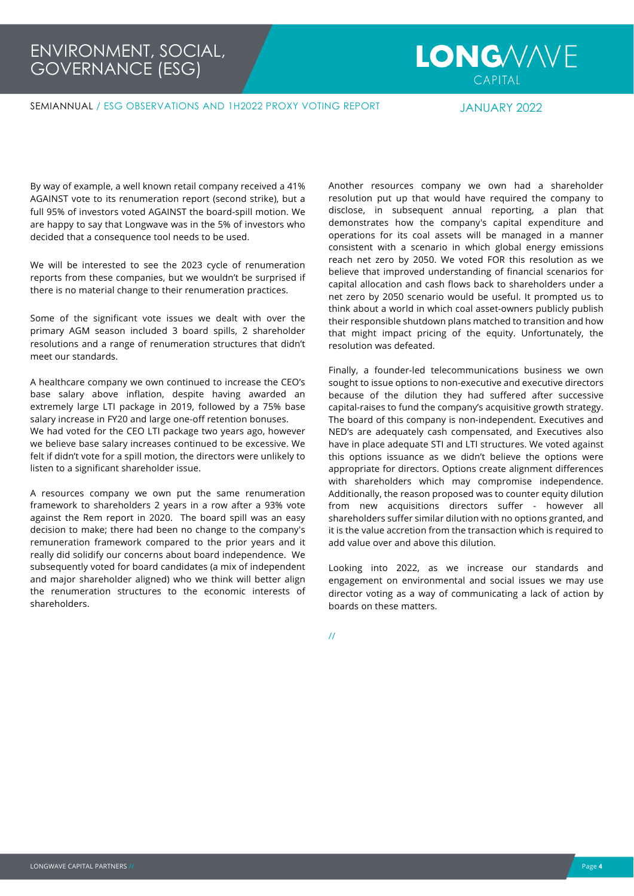## **LONG/V/VE**  $CAPITAI$

SEMIANNUAL / ESG OBSERVATIONS AND 1H2022 PROXY VOTING REPORT JANUARY 2022

By way of example, a well known retail company received a 41% AGAINST vote to its renumeration report (second strike), but a full 95% of investors voted AGAINST the board-spill motion. We are happy to say that Longwave was in the 5% of investors who decided that a consequence tool needs to be used.

We will be interested to see the 2023 cycle of renumeration reports from these companies, but we wouldn't be surprised if there is no material change to their renumeration practices.

Some of the significant vote issues we dealt with over the primary AGM season included 3 board spills, 2 shareholder resolutions and a range of renumeration structures that didn't meet our standards.

A healthcare company we own continued to increase the CEO's base salary above inflation, despite having awarded an extremely large LTI package in 2019, followed by a 75% base salary increase in FY20 and large one-off retention bonuses. We had voted for the CEO LTI package two years ago, however we believe base salary increases continued to be excessive. We felt if didn't vote for a spill motion, the directors were unlikely to listen to a significant shareholder issue.

A resources company we own put the same renumeration framework to shareholders 2 years in a row after a 93% vote against the Rem report in 2020. The board spill was an easy decision to make; there had been no change to the company's remuneration framework compared to the prior years and it really did solidify our concerns about board independence. We subsequently voted for board candidates (a mix of independent and major shareholder aligned) who we think will better align the renumeration structures to the economic interests of shareholders.

Another resources company we own had a shareholder resolution put up that would have required the company to disclose, in subsequent annual reporting, a plan that demonstrates how the company's capital expenditure and operations for its coal assets will be managed in a manner consistent with a scenario in which global energy emissions reach net zero by 2050. We voted FOR this resolution as we believe that improved understanding of financial scenarios for capital allocation and cash flows back to shareholders under a net zero by 2050 scenario would be useful. It prompted us to think about a world in which coal asset-owners publicly publish their responsible shutdown plans matched to transition and how that might impact pricing of the equity. Unfortunately, the resolution was defeated.

Finally, a founder-led telecommunications business we own sought to issue options to non-executive and executive directors because of the dilution they had suffered after successive capital-raises to fund the company's acquisitive growth strategy. The board of this company is non-independent. Executives and NED's are adequately cash compensated, and Executives also have in place adequate STI and LTI structures. We voted against this options issuance as we didn't believe the options were appropriate for directors. Options create alignment differences with shareholders which may compromise independence. Additionally, the reason proposed was to counter equity dilution from new acquisitions directors suffer - however all shareholders suffer similar dilution with no options granted, and it is the value accretion from the transaction which is required to add value over and above this dilution.

Looking into 2022, as we increase our standards and engagement on environmental and social issues we may use director voting as a way of communicating a lack of action by boards on these matters.

//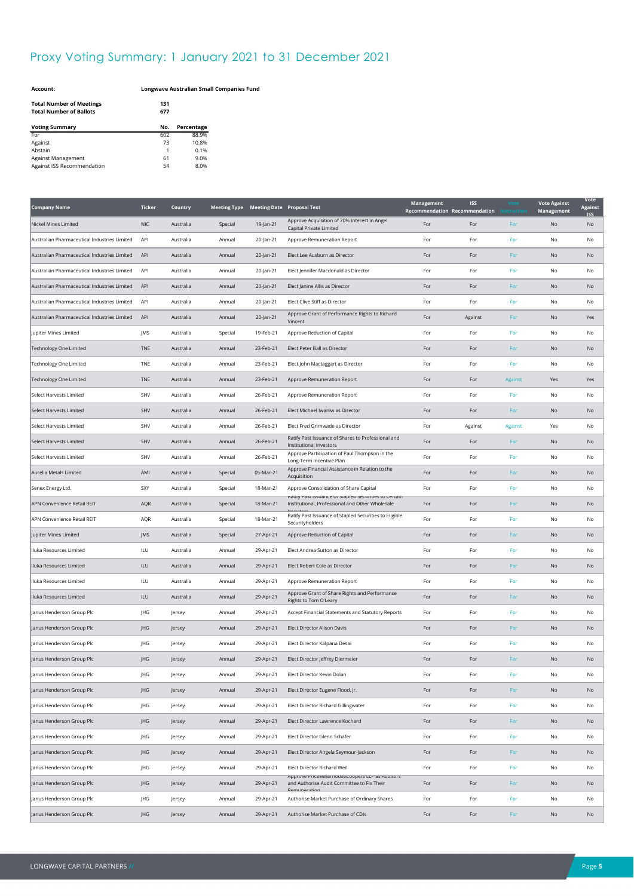### Proxy Voting Summary: 1 January 2021 to 31 December 2021

| <b>Account:</b> |
|-----------------|
|                 |

**Account: Longwave Australian Small Companies Fund**

| <b>Total Number of Meetings</b><br><b>Total Number of Ballots</b> | 131<br>677 |            |
|-------------------------------------------------------------------|------------|------------|
| <b>Voting Summary</b>                                             | No.        | Percentage |
| For                                                               | 602        | 88.9%      |
| Against                                                           | 73         | 10.8%      |
| Abstain                                                           | 1          | 0.1%       |
| Against Management                                                | 61         | 9.0%       |
| Against ISS Recommendation                                        | 54         | 8.0%       |

| <b>Company Name</b>                          | <b>Ticker</b> | Country   |         |           | Meeting Type Meeting Date Proposal Text                                                                    | Management<br>Recommendation Recommendation | <b>ISS</b> |         | <b>Vote Against</b><br>Management | Vote<br><b>Against</b><br>ISS |
|----------------------------------------------|---------------|-----------|---------|-----------|------------------------------------------------------------------------------------------------------------|---------------------------------------------|------------|---------|-----------------------------------|-------------------------------|
| Nickel Mines Limited                         | <b>NIC</b>    | Australia | Special | 19-Jan-21 | Approve Acquisition of 70% Interest in Angel<br>Capital Private Limited                                    | For                                         | For        | For     | No                                | No                            |
| Australian Pharmaceutical Industries Limited | API           | Australia | Annual  | 20-Jan-21 | Approve Remuneration Report                                                                                | For                                         | For        | For     | No                                | No                            |
| Australian Pharmaceutical Industries Limited | API           | Australia | Annual  | 20-Jan-21 | Elect Lee Ausburn as Director                                                                              | For                                         | For        | For     | No                                | No                            |
| Australian Pharmaceutical Industries Limited | API           | Australia | Annual  | 20-Jan-21 | Elect Jennifer Macdonald as Director                                                                       | For                                         | For        | For     | No                                | No                            |
| Australian Pharmaceutical Industries Limited | API           | Australia | Annual  | 20-Jan-21 | Elect Janine Allis as Director                                                                             | For                                         | For        | For     | No                                | No                            |
| Australian Pharmaceutical Industries Limited | API           | Australia | Annual  | 20-Jan-21 | Elect Clive Stiff as Director                                                                              | For                                         | For        | For     | No                                | No                            |
| Australian Pharmaceutical Industries Limited | API           | Australia | Annual  | 20-Jan-21 | Approve Grant of Performance Rights to Richard<br>Vincent                                                  | For                                         | Against    | For     | No                                | Yes                           |
| Jupiter Mines Limited                        | JMS           | Australia | Special | 19-Feb-21 | Approve Reduction of Capital                                                                               | For                                         | For        | For     | No                                | No                            |
| <b>Technology One Limited</b>                | TNE           | Australia | Annual  | 23-Feb-21 | Elect Peter Ball as Director                                                                               | For                                         | For        | For     | No                                | No                            |
| Technology One Limited                       | TNE           | Australia | Annual  | 23-Feb-21 | Elect John Mactaggart as Director                                                                          | For                                         | For        | For     | No                                | No                            |
| Technology One Limited                       | TNE           | Australia | Annual  | 23-Feb-21 | Approve Remuneration Report                                                                                | For                                         | For        | Against | Yes                               | Yes                           |
| Select Harvests Limited                      | SHV           | Australia | Annual  | 26-Feb-21 | Approve Remuneration Report                                                                                | For                                         | For        | For     | No                                | No                            |
| Select Harvests Limited                      | SHV           | Australia | Annual  | 26-Feb-21 | Elect Michael Iwaniw as Director                                                                           | For                                         | For        | For     | No                                | No                            |
| Select Harvests Limited                      | SHV           | Australia | Annual  | 26-Feb-21 | Elect Fred Grimwade as Director                                                                            | For                                         | Against    | Against | Yes                               | No                            |
| Select Harvests Limited                      | SHV           | Australia | Annual  | 26-Feb-21 | Ratify Past Issuance of Shares to Professional and<br>Institutional Investors                              | For                                         | For        | For     | No                                | No                            |
| Select Harvests Limited                      | SHV           | Australia | Annual  | 26-Feb-21 | Approve Participation of Paul Thompson in the<br>Long-Term Incentive Plan                                  | For                                         | For        | For     | No                                | No                            |
| Aurelia Metals Limited                       | AMI           | Australia | Special | 05-Mar-21 | Approve Financial Assistance in Relation to the<br>Acquisition                                             | For                                         | For        | For     | No                                | No                            |
| Senex Energy Ltd.                            | SXY           | Australia | Special | 18-Mar-21 | Approve Consolidation of Share Capital                                                                     | For                                         | For        | For     | No                                | No                            |
| APN Convenience Retail REIT                  | AQR           | Australia | Special | 18-Mar-21 | natily riast issuarice or stapled securities to certain<br>Institutional, Professional and Other Wholesale | For                                         | For        | For     | No                                | No                            |
| APN Convenience Retail REIT                  | AQR           | Australia | Special | 18-Mar-21 | Ratify Past Issuance of Stapled Securities to Eligible<br>Securityholders                                  | For                                         | For        | For     | No                                | No                            |
| Jupiter Mines Limited                        | JMS           | Australia | Special | 27-Apr-21 | Approve Reduction of Capital                                                                               | For                                         | For        | For     | No                                | No                            |
| Iluka Resources Limited                      | ILU           | Australia | Annual  | 29-Apr-21 | Elect Andrea Sutton as Director                                                                            | For                                         | For        | For     | No                                | No                            |
| Iluka Resources Limited                      | ILU           | Australia | Annual  | 29-Apr-21 | Elect Robert Cole as Director                                                                              | For                                         | For        | For     | No                                | No                            |
| Iluka Resources Limited                      | ILU           | Australia | Annual  | 29-Apr-21 | Approve Remuneration Report                                                                                | For                                         | For        | For     | No                                | No                            |
| Iluka Resources Limited                      | <b>ILU</b>    | Australia | Annual  | 29-Apr-21 | Approve Grant of Share Rights and Performance<br>Rights to Tom O'Leary                                     | For                                         | For        | For     | No                                | No                            |
| Janus Henderson Group Plc                    | JHG           | Jersey    | Annual  | 29-Apr-21 | Accept Financial Statements and Statutory Reports                                                          | For                                         | For        | For     | No                                | No                            |
| Janus Henderson Group Plc                    | JHG           | Jersey    | Annual  | 29-Apr-21 | Elect Director Alison Davis                                                                                | For                                         | For        | For     | No                                | No                            |
| Janus Henderson Group Plc                    | JHG           | Jersey    | Annual  | 29-Apr-21 | Elect Director Kalpana Desai                                                                               | For                                         | For        | For     | No                                | No                            |
| Janus Henderson Group Plc                    | JHG           | Jersey    | Annual  | 29-Apr-21 | Elect Director Jeffrey Diermeier                                                                           | For                                         | For        | For     | No                                | No                            |
| Janus Henderson Group Plc                    | JHG           | Jersey    | Annual  | 29-Apr-21 | Elect Director Kevin Dolan                                                                                 | For                                         | For        | For     | No                                | No                            |
| Janus Henderson Group Plc                    | JHG           | Jersey    | Annual  | 29-Apr-21 | Elect Director Eugene Flood, Jr.                                                                           | For                                         | For        | For     | No                                | No                            |
| Janus Henderson Group Plc                    | JHG           | Jersey    | Annual  | 29-Apr-21 | Elect Director Richard Gillingwater                                                                        | For                                         | For        | For     | No                                | No                            |
| Janus Henderson Group Plc                    | JHG           | Jersey    | Annual  | 29-Apr-21 | Elect Director Lawrence Kochard                                                                            | For                                         | For        | For     | No                                | No                            |
| Janus Henderson Group Plc                    | JHG           | Jersey    | Annual  | 29-Apr-21 | Elect Director Glenn Schafer                                                                               | For                                         | For        | For     | No                                | No                            |
| Janus Henderson Group Plc                    | JHG           | Jersey    | Annual  | 29-Apr-21 | Elect Director Angela Seymour-Jackson                                                                      | For                                         | For        | For     | No                                | No                            |
| Janus Henderson Group Plc                    | JHG           | Jersey    | Annual  | 29-Apr-21 | Elect Director Richard Weil                                                                                | For                                         | For        | For     | No                                | No                            |
| Janus Henderson Group Plc                    | JHG           | Jersey    | Annual  | 29-Apr-21 | Approve Pricewaternousecoopers ELP as Additors<br>and Authorise Audit Committee to Fix Their               | For                                         | For        | For     | No                                | No                            |
| Janus Henderson Group Plc                    | JHG           | Jersey    | Annual  | 29-Apr-21 | Authorise Market Purchase of Ordinary Shares                                                               | For                                         | For        | For     | No                                | No                            |
| Janus Henderson Group Plc                    | JHG           | Jersey    | Annual  | 29-Apr-21 | Authorise Market Purchase of CDIs                                                                          | For                                         | For        | For     | No                                | No                            |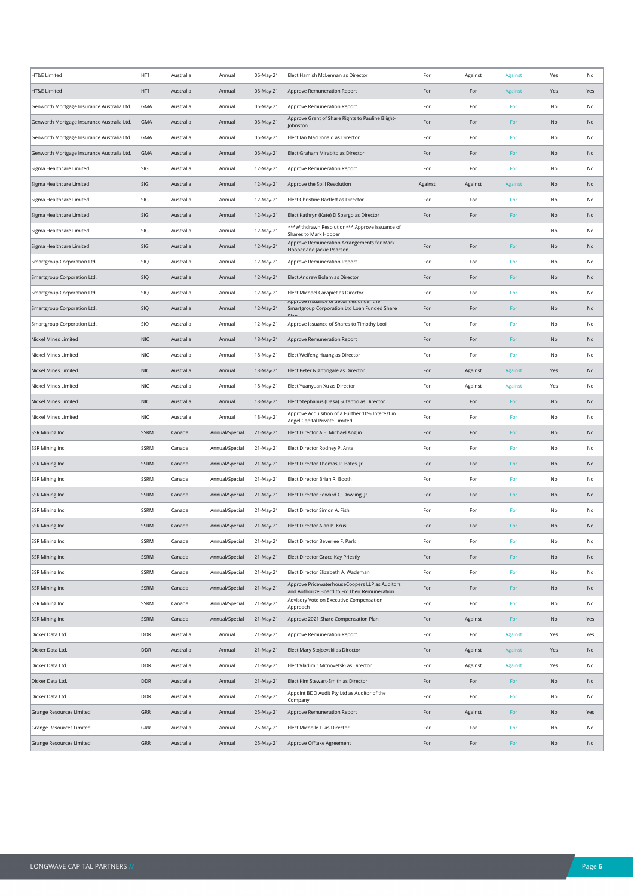| HT&E Limited                               | HT1         | Australia | Annual         | 06-May-21 | Elect Hamish McLennan as Director                                                               | For     | Against | Against                     | Yes           | No  |
|--------------------------------------------|-------------|-----------|----------------|-----------|-------------------------------------------------------------------------------------------------|---------|---------|-----------------------------|---------------|-----|
| HT&E Limited                               | HT1         | Australia | Annual         | 06-May-21 | Approve Remuneration Report                                                                     | For     | For     | Against                     | Yes           | Yes |
| Genworth Mortgage Insurance Australia Ltd. | GMA         | Australia | Annual         | 06-May-21 | Approve Remuneration Report                                                                     | For     | For     | For                         | No            | No  |
| Genworth Mortgage Insurance Australia Ltd. | GMA         | Australia | Annual         | 06-May-21 | Approve Grant of Share Rights to Pauline Blight-<br>Johnston                                    | For     | For     | For                         | No            | No  |
| Genworth Mortgage Insurance Australia Ltd. | GMA         | Australia | Annual         | 06-May-21 | Elect Ian MacDonald as Director                                                                 | For     | For     | For                         | No            | No  |
| Genworth Mortgage Insurance Australia Ltd. | <b>GMA</b>  | Australia | Annual         | 06-May-21 | Elect Graham Mirabito as Director                                                               | For     | For     | For                         | No            | No  |
| Sigma Healthcare Limited                   | SIG         | Australia | Annual         | 12-May-21 | Approve Remuneration Report                                                                     | For     | For     | For                         | No            | No  |
| Sigma Healthcare Limited                   | SIG         | Australia | Annual         | 12-May-21 | Approve the Spill Resolution                                                                    | Against | Against | Against                     | No            | No  |
| Sigma Healthcare Limited                   | SIG         | Australia | Annual         | 12-May-21 | Elect Christine Bartlett as Director                                                            | For     | For     | For                         | No            | No  |
| Sigma Healthcare Limited                   | SIG         | Australia | Annual         | 12-May-21 | Elect Kathryn (Kate) D Spargo as Director                                                       | For     | For     | For                         | No            | No  |
| Sigma Healthcare Limited                   | SIG         | Australia | Annual         | 12-May-21 | ***Withdrawn Resolution*** Approve Issuance of<br>Shares to Mark Hooper                         |         |         |                             | No            | No  |
| Sigma Healthcare Limited                   | SIG         | Australia | Annual         | 12-May-21 | Approve Remuneration Arrangements for Mark<br>Hooper and Jackie Pearson                         | For     | For     | For                         | No            | No  |
| Smartgroup Corporation Ltd.                | SIQ         | Australia | Annual         | 12-May-21 | Approve Remuneration Report                                                                     | For     | For     | For                         | No            | No  |
| Smartgroup Corporation Ltd.                | SIQ         | Australia | Annual         | 12-May-21 | Elect Andrew Bolam as Director                                                                  | For     | For     | For                         | No            | No  |
| Smartgroup Corporation Ltd.                | SIQ         | Australia | Annual         | 12-May-21 | Elect Michael Carapiet as Director                                                              | For     | For     | For                         | No            | No  |
| Smartgroup Corporation Ltd.                | SIQ         | Australia | Annual         | 12-May-21 | און טעל ואטוועל טו אכנעו ונוכא עוזעלו נוזכ<br>Smartgroup Corporation Ltd Loan Funded Share      | For     | For     | For                         | No            | No  |
| Smartgroup Corporation Ltd.                | SIQ         | Australia | Annual         | 12-May-21 | Approve Issuance of Shares to Timothy Looi                                                      | For     | For     | For                         | No            | No  |
| Nickel Mines Limited                       | <b>NIC</b>  | Australia | Annual         | 18-May-21 | Approve Remuneration Report                                                                     | For     | For     | For                         | No            | No  |
| Nickel Mines Limited                       | <b>NIC</b>  | Australia | Annual         | 18-May-21 | Elect Weifeng Huang as Director                                                                 | For     | For     | For                         | No            | No  |
| Nickel Mines Limited                       | <b>NIC</b>  | Australia | Annual         | 18-May-21 | Elect Peter Nightingale as Director                                                             | For     | Against | Against                     | Yes           | No  |
| Nickel Mines Limited                       | NIC         | Australia | Annual         | 18-May-21 | Elect Yuanyuan Xu as Director                                                                   | For     | Against | Against                     | Yes           | No  |
| Nickel Mines Limited                       | <b>NIC</b>  | Australia | Annual         | 18-May-21 | Elect Stephanus (Dasa) Sutantio as Director                                                     | For     | For     | For                         | No            | No  |
| Nickel Mines Limited                       | <b>NIC</b>  | Australia | Annual         | 18-May-21 | Approve Acquisition of a Further 10% Interest in<br>Angel Capital Private Limited               | For     | For     | For                         | No            | No  |
| SSR Mining Inc.                            | SSRM        | Canada    | Annual/Special | 21-May-21 | Elect Director A.E. Michael Anglin                                                              | For     | For     | For                         | <b>No</b>     | No  |
| SSR Mining Inc.                            | SSRM        | Canada    | Annual/Special | 21-May-21 | Elect Director Rodney P. Antal                                                                  | For     | For     | For                         | No            | No  |
| SSR Mining Inc.                            | SSRM        | Canada    | Annual/Special | 21-May-21 | Elect Director Thomas R. Bates, Jr.                                                             | For     | For     | For                         | No            | No  |
| SSR Mining Inc.                            | SSRM        | Canada    | Annual/Special | 21-May-21 | Elect Director Brian R. Booth                                                                   | For     | For     | For                         | No            | No  |
| SSR Mining Inc.                            | SSRM        | Canada    | Annual/Special | 21-May-21 | Elect Director Edward C. Dowling, Jr.                                                           | For     | For     | For                         | No            | No  |
| SSR Mining Inc.                            | SSRM        | Canada    | Annual/Special | 21-May-21 | Elect Director Simon A. Fish                                                                    | For     | For     | For                         | No            | No  |
| SSR Mining Inc.                            | <b>SSRM</b> | Canada    | Annual/Special | 21-May-21 | Elect Director Alan P. Krusi                                                                    | For     | For     | For                         | No            | No  |
| SSR Mining Inc.                            | SSRM        | Canada    | Annual/Special | 21-May-21 | Elect Director Beverlee F. Park                                                                 | For     | For     | For                         | No            | No  |
| SSR Mining Inc.                            | SSRM        | Canada    | Annual/Special | 21-May-21 | Elect Director Grace Kay Priestly                                                               | For     | For     | For                         | <b>No</b>     | No  |
| SSR Mining Inc.                            | SSRM        | Canada    | Annual/Special | 21-May-21 | Elect Director Elizabeth A. Wademan                                                             | For     | For     | For                         | No            | No  |
| SSR Mining Inc.                            | SSRM        | Canada    | Annual/Special | 21-May-21 | Approve PricewaterhouseCoopers LLP as Auditors<br>and Authorize Board to Fix Their Remuneration | For     | For     | For                         | $\mathsf{No}$ | No  |
| SSR Mining Inc.                            | SSRM        | Canada    | Annual/Special | 21-May-21 | Advisory Vote on Executive Compensation<br>Approach                                             | For     | For     | For                         | No            | No  |
| SSR Mining Inc.                            | SSRM        | Canada    | Annual/Special | 21-May-21 | Approve 2021 Share Compensation Plan                                                            | For     | Against | For                         | No            | Yes |
| Dicker Data Ltd.                           | DDR         | Australia | Annual         | 21-May-21 | Approve Remuneration Report                                                                     | For     | For     | Against                     | Yes           | Yes |
| Dicker Data Ltd.                           | DDR         | Australia | Annual         | 21-May-21 | Elect Mary Stojcevski as Director                                                               | For     | Against | Against                     | Yes           | No  |
| Dicker Data Ltd.                           | DDR         | Australia | Annual         | 21-May-21 | Elect Vladimir Mitnovetski as Director                                                          | For     | Against | Against                     | Yes           | No  |
| Dicker Data Ltd.                           | DDR         | Australia | Annual         | 21-May-21 | Elect Kim Stewart-Smith as Director                                                             | For     | For     | For                         | No            | No  |
| Dicker Data Ltd.                           | DDR         | Australia | Annual         | 21-May-21 | Appoint BDO Audit Pty Ltd as Auditor of the<br>Company                                          | For     | For     | For                         | No            | No  |
| Grange Resources Limited                   | GRR         | Australia | Annual         | 25-May-21 | Approve Remuneration Report                                                                     | For     | Against | $\ensuremath{\mathsf{For}}$ | No            | Yes |
| Grange Resources Limited                   | GRR         | Australia | Annual         | 25-May-21 | Elect Michelle Li as Director                                                                   | For     | For     | For                         | No            | No  |
| Grange Resources Limited                   | GRR         | Australia | Annual         | 25-May-21 | Approve Offtake Agreement                                                                       | For     | For     | For                         | No            | No  |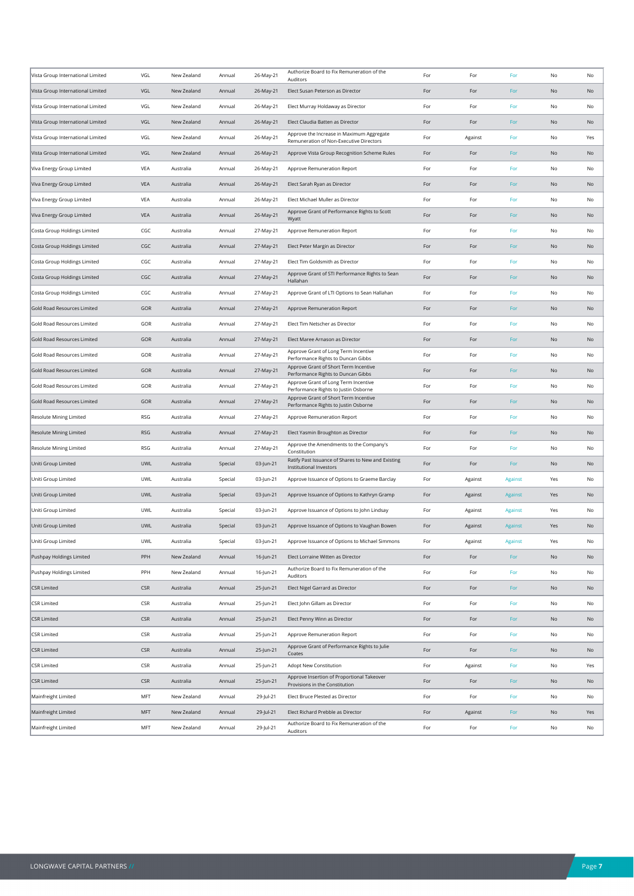| Vista Group International Limited | VGL        | New Zealand | Annual  | 26-May-21 | Authorize Board to Fix Remuneration of the                                    | For | For     | For     | No            | No  |
|-----------------------------------|------------|-------------|---------|-----------|-------------------------------------------------------------------------------|-----|---------|---------|---------------|-----|
| Vista Group International Limited | VGL        | New Zealand | Annual  | 26-May-21 | Auditors<br>Elect Susan Peterson as Director                                  | For | For     | For     | No            | No  |
| Vista Group International Limited | VGL        | New Zealand | Annual  | 26-May-21 | Elect Murray Holdaway as Director                                             | For | For     | For     | No            | No  |
| Vista Group International Limited | VGL        | New Zealand | Annual  | 26-May-21 | Elect Claudia Batten as Director                                              | For | For     | For     | No            | No  |
| Vista Group International Limited | VGL        | New Zealand | Annual  | 26-May-21 | Approve the Increase in Maximum Aggregate                                     | For | Against | For     | No            | Yes |
|                                   |            |             |         |           | Remuneration of Non-Executive Directors                                       |     |         |         |               |     |
| Vista Group International Limited | VGL        | New Zealand | Annual  | 26-May-21 | Approve Vista Group Recognition Scheme Rules                                  | For | For     | For     | No            | No  |
| Viva Energy Group Limited         | VEA        | Australia   | Annual  | 26-May-21 | Approve Remuneration Report                                                   | For | For     | For     | No            | No  |
| Viva Energy Group Limited         | <b>VEA</b> | Australia   | Annual  | 26-May-21 | Elect Sarah Ryan as Director                                                  | For | For     | For     | No            | No  |
| Viva Energy Group Limited         | VEA        | Australia   | Annual  | 26-May-21 | Elect Michael Muller as Director                                              | For | For     | For     | No            | No  |
| Viva Energy Group Limited         | VEA        | Australia   | Annual  | 26-May-21 | Approve Grant of Performance Rights to Scott<br>Wyatt                         | For | For     | For     | No            | No  |
| Costa Group Holdings Limited      | CGC        | Australia   | Annual  | 27-May-21 | Approve Remuneration Report                                                   | For | For     | For     | No            | No  |
| Costa Group Holdings Limited      | CGC        | Australia   | Annual  | 27-May-21 | Elect Peter Margin as Director                                                | For | For     | For     | No            | No  |
| Costa Group Holdings Limited      | CGC        | Australia   | Annual  | 27-May-21 | Elect Tim Goldsmith as Director                                               | For | For     | For     | No            | No  |
| Costa Group Holdings Limited      | CGC        | Australia   | Annual  | 27-May-21 | Approve Grant of STI Performance Rights to Sean<br>Hallahan                   | For | For     | For     | No            | No  |
| Costa Group Holdings Limited      | CGC        | Australia   | Annual  | 27-May-21 | Approve Grant of LTI Options to Sean Hallahan                                 | For | For     | For     | No            | No  |
| Gold Road Resources Limited       | GOR        | Australia   | Annual  | 27-May-21 | Approve Remuneration Report                                                   | For | For     | For     | No            | No  |
| Gold Road Resources Limited       | GOR        | Australia   | Annual  | 27-May-21 | Elect Tim Netscher as Director                                                | For | For     | For     | No            | No  |
| Gold Road Resources Limited       | GOR        | Australia   | Annual  | 27-May-21 | Elect Maree Arnason as Director                                               | For | For     | For     | No            | No  |
| Gold Road Resources Limited       | GOR        | Australia   | Annual  | 27-May-21 | Approve Grant of Long Term Incentive<br>Performance Rights to Duncan Gibbs    | For | For     | For     | No            | No  |
| Gold Road Resources Limited       | <b>GOR</b> | Australia   | Annual  | 27-May-21 | Approve Grant of Short Term Incentive<br>Performance Rights to Duncan Gibbs   | For | For     | For     | No            | No  |
| Gold Road Resources Limited       | GOR        | Australia   | Annual  | 27-May-21 | Approve Grant of Long Term Incentive<br>Performance Rights to Justin Osborne  | For | For     | For     | No            | No  |
| Gold Road Resources Limited       | GOR        | Australia   | Annual  | 27-May-21 | Approve Grant of Short Term Incentive<br>Performance Rights to Justin Osborne | For | For     | For     | No            | No  |
| Resolute Mining Limited           | <b>RSG</b> | Australia   | Annual  | 27-May-21 | Approve Remuneration Report                                                   | For | For     | For     | No            | No  |
| Resolute Mining Limited           | <b>RSG</b> | Australia   | Annual  | 27-May-21 | Elect Yasmin Broughton as Director                                            | For | For     | For     | No            | No  |
| Resolute Mining Limited           | RSG        | Australia   | Annual  | 27-May-21 | Approve the Amendments to the Company's<br>Constitution                       | For | For     | For     | No            | No  |
| Uniti Group Limited               | <b>UWL</b> | Australia   | Special | 03-Jun-21 | Ratify Past Issuance of Shares to New and Existing<br>Institutional Investors | For | For     | For     | No            | No  |
| Uniti Group Limited               | <b>UWL</b> | Australia   | Special | 03-Jun-21 | Approve Issuance of Options to Graeme Barclay                                 | For | Against | Against | Yes           | No  |
| Uniti Group Limited               | UWL        | Australia   | Special | 03-Jun-21 | Approve Issuance of Options to Kathryn Gramp                                  | For | Against | Against | Yes           | No  |
| Uniti Group Limited               | UWL        | Australia   | Special | 03-Jun-21 | Approve Issuance of Options to John Lindsay                                   | For | Against | Against | Yes           | No  |
| Uniti Group Limited               | <b>UWL</b> | Australia   | Special | 03-Jun-21 | Approve Issuance of Options to Vaughan Bowen                                  | For | Against | Against | Yes           | No  |
| Uniti Group Limited               | UWL        | Australia   | Special | 03-Jun-21 | Approve Issuance of Options to Michael Simmons                                | For | Against | Against | Yes           | No  |
| Pushpay Holdings Limited          | PPH        | New Zealand | Annual  | 16-Jun-21 | Elect Lorraine Witten as Director                                             | For | For     | For     | No            | No  |
| Pushpay Holdings Limited          | PPH        | New Zealand | Annual  | 16-Jun-21 | Authorize Board to Fix Remuneration of the<br>Auditors                        | For | For     | For     | No            | No  |
| <b>CSR Limited</b>                | <b>CSR</b> | Australia   | Annual  | 25-Jun-21 | Elect Nigel Garrard as Director                                               | For | For     | For     | $\mathsf{No}$ | No  |
| <b>CSR Limited</b>                | <b>CSR</b> | Australia   | Annual  | 25-Jun-21 | Elect John Gillam as Director                                                 | For | For     | For     | No            | No  |
| <b>CSR Limited</b>                | <b>CSR</b> | Australia   | Annual  | 25-Jun-21 | Elect Penny Winn as Director                                                  | For | For     | For     | No            | No  |
| <b>CSR Limited</b>                | CSR        | Australia   | Annual  | 25-Jun-21 | Approve Remuneration Report                                                   | For | For     | For     | No            | No  |
| <b>CSR Limited</b>                | <b>CSR</b> | Australia   | Annual  | 25-Jun-21 | Approve Grant of Performance Rights to Julie<br>Coates                        | For | For     | For     | $\mathsf{No}$ | No  |
| <b>CSR Limited</b>                | <b>CSR</b> | Australia   | Annual  | 25-Jun-21 | Adopt New Constitution                                                        | For | Against | For     | No            | Yes |
| CSR Limited                       | <b>CSR</b> | Australia   | Annual  | 25-Jun-21 | Approve Insertion of Proportional Takeover<br>Provisions in the Constitution  | For | For     | For     | No            | No  |
| Mainfreight Limited               | MFT        | New Zealand | Annual  | 29-Jul-21 | Elect Bruce Plested as Director                                               | For | For     | For     | No            | No  |
| Mainfreight Limited               | MFT        | New Zealand | Annual  | 29-Jul-21 | Elect Richard Prebble as Director                                             | For | Against | For     | No            | Yes |
| Mainfreight Limited               | MFT        | New Zealand | Annual  | 29-Jul-21 | Authorize Board to Fix Remuneration of the<br>Auditors                        | For | For     | For     | No            | No  |
|                                   |            |             |         |           |                                                                               |     |         |         |               |     |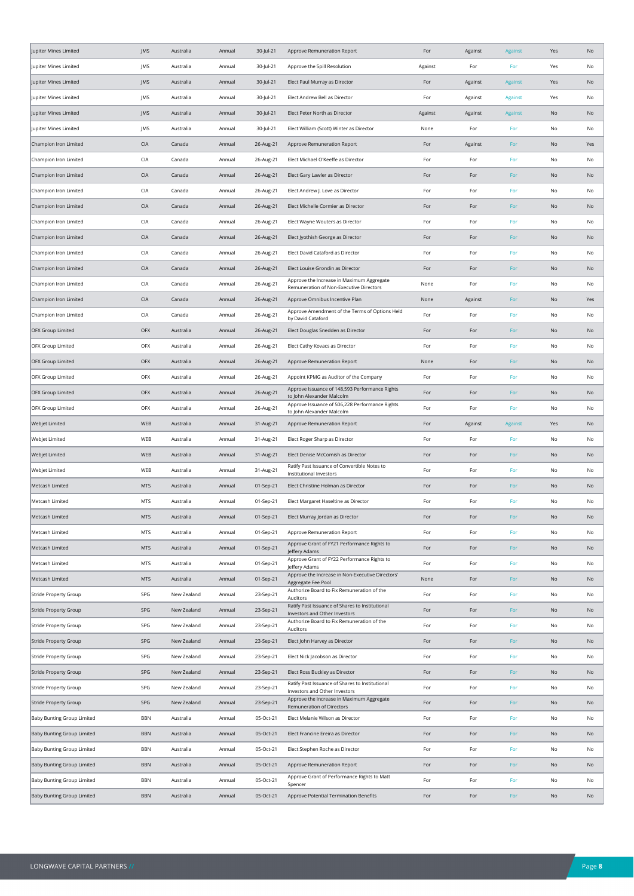| Jupiter Mines Limited             | JMS        | Australia   | Annual | 30-Jul-21 | Approve Remuneration Report                                                          | For     | Against | <b>Against</b> | Yes           | No  |
|-----------------------------------|------------|-------------|--------|-----------|--------------------------------------------------------------------------------------|---------|---------|----------------|---------------|-----|
| Jupiter Mines Limited             | JMS        | Australia   | Annual | 30-Jul-21 | Approve the Spill Resolution                                                         | Against | For     | For            | Yes           | No  |
| Jupiter Mines Limited             | JMS        | Australia   | Annual | 30-Jul-21 | Elect Paul Murray as Director                                                        | For     | Against | Against        | Yes           | No  |
| Jupiter Mines Limited             | JMS        | Australia   | Annual | 30-Jul-21 | Elect Andrew Bell as Director                                                        | For     | Against | Against        | Yes           | No  |
| Jupiter Mines Limited             | JMS        | Australia   | Annual | 30-Jul-21 | Elect Peter North as Director                                                        | Against | Against | <b>Against</b> | No            | No  |
| Jupiter Mines Limited             | JMS        | Australia   | Annual | 30-Jul-21 | Elect William (Scott) Winter as Director                                             | None    | For     | For            | No            | No  |
| Champion Iron Limited             | <b>CIA</b> | Canada      | Annual | 26-Aug-21 | Approve Remuneration Report                                                          | For     | Against | For            | No            | Yes |
| Champion Iron Limited             | CIA        | Canada      | Annual | 26-Aug-21 | Elect Michael O'Keeffe as Director                                                   | For     | For     | For            | No            | No  |
| Champion Iron Limited             | <b>CIA</b> | Canada      | Annual | 26-Aug-21 | Elect Gary Lawler as Director                                                        | For     | For     | For            | No            | No  |
| Champion Iron Limited             | CIA        | Canada      | Annual | 26-Aug-21 | Elect Andrew J. Love as Director                                                     | For     | For     | For            | No            | No  |
| Champion Iron Limited             | <b>CIA</b> | Canada      | Annual | 26-Aug-21 | Elect Michelle Cormier as Director                                                   | For     | For     | For            | No            | No  |
| Champion Iron Limited             | CIA        | Canada      | Annual | 26-Aug-21 | Elect Wayne Wouters as Director                                                      | For     | For     | For            | No            | No  |
| Champion Iron Limited             | CIA        | Canada      | Annual | 26-Aug-21 | Elect Jyothish George as Director                                                    | For     | For     | For            | No            | No  |
| Champion Iron Limited             | <b>CIA</b> | Canada      | Annual | 26-Aug-21 | Elect David Cataford as Director                                                     | For     | For     | For            | No            | No  |
| Champion Iron Limited             | <b>CIA</b> | Canada      | Annual | 26-Aug-21 | Elect Louise Grondin as Director                                                     | For     | For     | For            | No            | No  |
| Champion Iron Limited             | <b>CIA</b> | Canada      | Annual | 26-Aug-21 | Approve the Increase in Maximum Aggregate<br>Remuneration of Non-Executive Directors | None    | For     | For            | No            | No  |
| Champion Iron Limited             | <b>CIA</b> | Canada      | Annual | 26-Aug-21 | Approve Omnibus Incentive Plan                                                       | None    | Against | For            | No            | Yes |
| Champion Iron Limited             | CIA        | Canada      | Annual | 26-Aug-21 | Approve Amendment of the Terms of Options Held<br>by David Cataford                  | For     | For     | For            | No            | No  |
| <b>OFX Group Limited</b>          | OFX        | Australia   | Annual | 26-Aug-21 | Elect Douglas Snedden as Director                                                    | For     | For     | For            | No            | No  |
| OFX Group Limited                 | OFX        | Australia   | Annual | 26-Aug-21 | Elect Cathy Kovacs as Director                                                       | For     | For     | For            | No            | No  |
| <b>OFX Group Limited</b>          | <b>OFX</b> | Australia   | Annual | 26-Aug-21 | Approve Remuneration Report                                                          | None    | For     | For            | No            | No  |
| OFX Group Limited                 | OFX        | Australia   | Annual | 26-Aug-21 | Appoint KPMG as Auditor of the Company                                               | For     | For     | For            | No            | No  |
| <b>OFX Group Limited</b>          | OFX        | Australia   | Annual | 26-Aug-21 | Approve Issuance of 148,593 Performance Rights<br>to John Alexander Malcolm          | For     | For     | For            | No            | No  |
| OFX Group Limited                 | OFX        | Australia   | Annual | 26-Aug-21 | Approve Issuance of 506,228 Performance Rights<br>to John Alexander Malcolm          | For     | For     | For            | No            | No  |
| Webjet Limited                    | WEB        | Australia   | Annual | 31-Aug-21 | Approve Remuneration Report                                                          | For     | Against | Against        | Yes           | No  |
| Webjet Limited                    | WEB        | Australia   | Annual | 31-Aug-21 | Elect Roger Sharp as Director                                                        | For     | For     | For            | No            | No  |
| Webjet Limited                    | WEB        | Australia   | Annual | 31-Aug-21 | Elect Denise McComish as Director                                                    | For     | For     | For            | No            | No  |
| Webjet Limited                    | WEB        | Australia   | Annual | 31-Aug-21 | Ratify Past Issuance of Convertible Notes to<br>Institutional Investors              | For     | For     | For            | No            | No  |
| Metcash Limited                   | <b>MTS</b> | Australia   | Annual | 01-Sep-21 | Elect Christine Holman as Director                                                   | For     | For     | For            | No            | No  |
| Metcash Limited                   | <b>MTS</b> | Australia   | Annual | 01-Sep-21 | Elect Margaret Haseltine as Director                                                 | For     | For     | For            | No            | No  |
| Metcash Limited                   | <b>MTS</b> | Australia   | Annual | 01-Sep-21 | Elect Murray Jordan as Director                                                      | For     | For     | For            | No            | No  |
| Metcash Limited                   | <b>MTS</b> | Australia   | Annual | 01-Sep-21 | Approve Remuneration Report                                                          | For     | For     | For            | No            | No  |
| Metcash Limited                   | <b>MTS</b> | Australia   | Annual | 01-Sep-21 | Approve Grant of FY21 Performance Rights to<br>Jeffery Adams                         | For     | For     | For            | $\mathsf{No}$ | No  |
| Metcash Limited                   | <b>MTS</b> | Australia   | Annual | 01-Sep-21 | Approve Grant of FY22 Performance Rights to<br>Jeffery Adams                         | For     | For     | For            | No            | No  |
| Metcash Limited                   | <b>MTS</b> | Australia   | Annual | 01-Sep-21 | Approve the Increase in Non-Executive Directors'<br>Aggregate Fee Pool               | None    | For     | For            | $\mathsf{No}$ | No  |
| Stride Property Group             | SPG        | New Zealand | Annual | 23-Sep-21 | Authorize Board to Fix Remuneration of the<br>Auditors                               | For     | For     | For            | No            | No  |
| Stride Property Group             | SPG        | New Zealand | Annual | 23-Sep-21 | Ratify Past Issuance of Shares to Institutional<br>Investors and Other Investors     | For     | For     | For            | No            | No  |
| <b>Stride Property Group</b>      | SPG        | New Zealand | Annual | 23-Sep-21 | Authorize Board to Fix Remuneration of the<br>Auditors                               | For     | For     | For            | No            | No  |
| Stride Property Group             | SPG        | New Zealand | Annual | 23-Sep-21 | Elect John Harvey as Director                                                        | For     | For     | For            | No            | No  |
| Stride Property Group             | SPG        | New Zealand | Annual | 23-Sep-21 | Elect Nick Jacobson as Director                                                      | For     | For     | For            | $\mathsf{No}$ | No  |
| Stride Property Group             | SPG        | New Zealand | Annual | 23-Sep-21 | Elect Ross Buckley as Director                                                       | For     | For     | For            | No            | No  |
| Stride Property Group             | SPG        | New Zealand | Annual | 23-Sep-21 | Ratify Past Issuance of Shares to Institutional<br>Investors and Other Investors     | For     | For     | For            | No            | No  |
| Stride Property Group             | SPG        | New Zealand | Annual | 23-Sep-21 | Approve the Increase in Maximum Aggregate<br>Remuneration of Directors               | For     | For     | For            | No            | No  |
| Baby Bunting Group Limited        | <b>BBN</b> | Australia   | Annual | 05-Oct-21 | Elect Melanie Wilson as Director                                                     | For     | For     | For            | No            | No  |
| Baby Bunting Group Limited        | <b>BBN</b> | Australia   | Annual | 05-Oct-21 | Elect Francine Ereira as Director                                                    | For     | For     | For            | No            | No  |
| Baby Bunting Group Limited        | <b>BBN</b> | Australia   | Annual | 05-Oct-21 | Elect Stephen Roche as Director                                                      | For     | For     | For            | No            | No  |
| Baby Bunting Group Limited        | <b>BBN</b> | Australia   | Annual | 05-Oct-21 | Approve Remuneration Report                                                          | For     | For     | For            | No            | No  |
| Baby Bunting Group Limited        | BBN        | Australia   | Annual | 05-Oct-21 | Approve Grant of Performance Rights to Matt<br>Spencer                               | For     | For     | For            | No            | No  |
| <b>Baby Bunting Group Limited</b> | <b>BBN</b> | Australia   | Annual | 05-Oct-21 | Approve Potential Termination Benefits                                               | For     | For     | For            | No            | No  |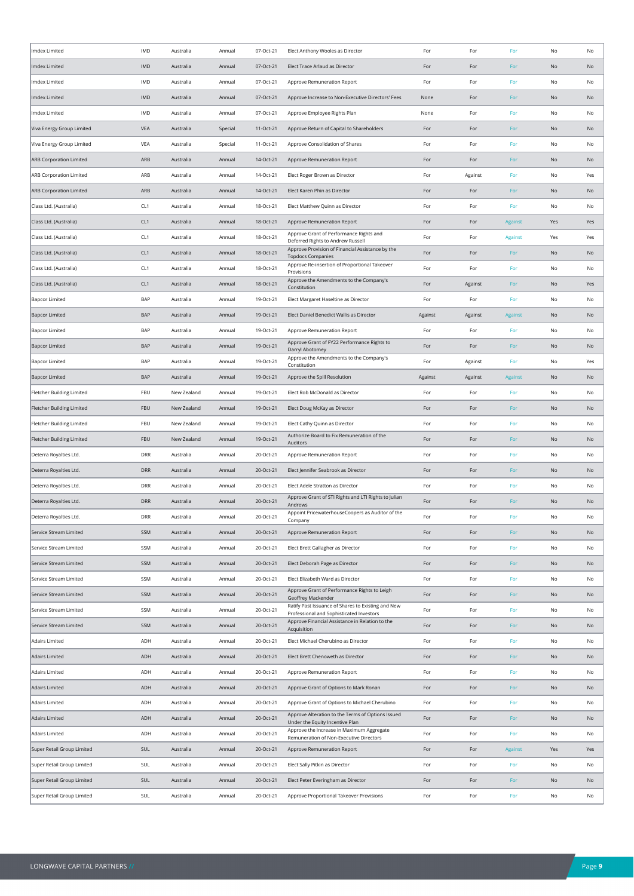| Imdex Limited                    | IMD             | Australia   | Annual  | 07-Oct-21 | Elect Anthony Wooles as Director                                                               | For     | For     | For     | No            | No  |
|----------------------------------|-----------------|-------------|---------|-----------|------------------------------------------------------------------------------------------------|---------|---------|---------|---------------|-----|
| Imdex Limited                    | <b>IMD</b>      | Australia   | Annual  | 07-Oct-21 | Elect Trace Arlaud as Director                                                                 | For     | For     | For     | No            | No  |
| Imdex Limited                    | IMD             | Australia   | Annual  | 07-Oct-21 | Approve Remuneration Report                                                                    | For     | For     | For     | No            | No  |
| Imdex Limited                    | IMD             | Australia   | Annual  | 07-Oct-21 | Approve Increase to Non-Executive Directors' Fees                                              | None    | For     | For     | No            | No  |
| Imdex Limited                    | IMD             | Australia   | Annual  | 07-Oct-21 | Approve Employee Rights Plan                                                                   | None    | For     | For     | No            | No  |
| Viva Energy Group Limited        | VEA             | Australia   | Special | 11-Oct-21 | Approve Return of Capital to Shareholders                                                      | For     | For     | For     | No            | No  |
| Viva Energy Group Limited        | <b>VEA</b>      | Australia   | Special | 11-Oct-21 | Approve Consolidation of Shares                                                                | For     | For     | For     | No            | No  |
| <b>ARB Corporation Limited</b>   | ARB             | Australia   | Annual  | 14-Oct-21 | Approve Remuneration Report                                                                    | For     | For     | For     | No            | No  |
| ARB Corporation Limited          | ARB             | Australia   | Annual  | 14-Oct-21 | Elect Roger Brown as Director                                                                  | For     | Against | For     | No            | Yes |
| ARB Corporation Limited          | ARB             | Australia   | Annual  | 14-Oct-21 | Elect Karen Phin as Director                                                                   | For     | For     | For     | No            | No  |
| Class Ltd. (Australia)           | CL <sub>1</sub> | Australia   | Annual  | 18-Oct-21 | Elect Matthew Quinn as Director                                                                | For     | For     | For     | No            | No  |
| Class Ltd. (Australia)           | CL <sub>1</sub> | Australia   | Annual  | 18-Oct-21 | Approve Remuneration Report                                                                    | For     | For     | Against | Yes           | Yes |
| Class Ltd. (Australia)           | CL <sub>1</sub> | Australia   | Annual  | 18-Oct-21 | Approve Grant of Performance Rights and<br>Deferred Rights to Andrew Russell                   | For     | For     | Against | Yes           | Yes |
| Class Ltd. (Australia)           | CL <sub>1</sub> | Australia   | Annual  | 18-Oct-21 | Approve Provision of Financial Assistance by the<br><b>Topdocs Companies</b>                   | For     | For     | For     | No            | No  |
| Class Ltd. (Australia)           | CL <sub>1</sub> | Australia   | Annual  | 18-Oct-21 | Approve Re-insertion of Proportional Takeover<br>Provisions                                    | For     | For     | For     | No            | No  |
| Class Ltd. (Australia)           | CL <sub>1</sub> | Australia   | Annual  | 18-Oct-21 | Approve the Amendments to the Company's<br>Constitution                                        | For     | Against | For     | No            | Yes |
| <b>Bapcor Limited</b>            | BAP             | Australia   | Annual  | 19-Oct-21 | Elect Margaret Haseltine as Director                                                           | For     | For     | For     | No            | No  |
| <b>Bapcor Limited</b>            | <b>BAP</b>      | Australia   | Annual  | 19-Oct-21 | Elect Daniel Benedict Wallis as Director                                                       | Against | Against | Against | No            | No  |
| <b>Bapcor Limited</b>            | BAP             | Australia   | Annual  | 19-Oct-21 | Approve Remuneration Report                                                                    | For     | For     | For     | No            | No  |
| <b>Bapcor Limited</b>            | BAP             | Australia   | Annual  | 19-Oct-21 | Approve Grant of FY22 Performance Rights to<br>Darryl Abotomey                                 | For     | For     | For     | No            | No  |
| <b>Bapcor Limited</b>            | BAP             | Australia   | Annual  | 19-Oct-21 | Approve the Amendments to the Company's<br>Constitution                                        | For     | Against | For     | No            | Yes |
| <b>Bapcor Limited</b>            | <b>BAP</b>      | Australia   | Annual  | 19-Oct-21 | Approve the Spill Resolution                                                                   | Against | Against | Against | No            | No  |
| <b>Fletcher Building Limited</b> | FBU             | New Zealand | Annual  | 19-Oct-21 | Elect Rob McDonald as Director                                                                 | For     | For     | For     | No            | No  |
| Fletcher Building Limited        | <b>FBU</b>      | New Zealand | Annual  | 19-Oct-21 | Elect Doug McKay as Director                                                                   | For     | For     | For     | No            | No  |
| <b>Fletcher Building Limited</b> | FBU             | New Zealand | Annual  | 19-Oct-21 | Elect Cathy Quinn as Director                                                                  | For     | For     | For     | No            | No  |
| <b>Fletcher Building Limited</b> | FBU             | New Zealand | Annual  | 19-Oct-21 | Authorize Board to Fix Remuneration of the<br>Auditors                                         | For     | For     | For     | No            | No  |
| Deterra Royalties Ltd.           | DRR             | Australia   | Annual  | 20-Oct-21 | Approve Remuneration Report                                                                    | For     | For     | For     | No            | No  |
| Deterra Royalties Ltd.           | <b>DRR</b>      | Australia   | Annual  | 20-Oct-21 | Elect Jennifer Seabrook as Director                                                            | For     | For     | For     | No            | No  |
| Deterra Royalties Ltd.           | DRR             | Australia   | Annual  | 20-Oct-21 | Elect Adele Stratton as Director                                                               | For     | For     | For     | No            | No  |
| Deterra Royalties Ltd.           | <b>DRR</b>      | Australia   | Annual  | 20-Oct-21 | Approve Grant of STI Rights and LTI Rights to Julian<br>Andrews                                | For     | For     | For     | No            | No  |
| Deterra Royalties Ltd.           | <b>DRR</b>      | Australia   | Annual  | 20-Oct-21 | Appoint PricewaterhouseCoopers as Auditor of the<br>Company                                    | For     | For     | For     | No            | No  |
| Service Stream Limited           | SSM             | Australia   | Annual  | 20-Oct-21 | Approve Remuneration Report                                                                    | For     | For     | For     | No            | No  |
| Service Stream Limited           | SSM             | Australia   | Annual  | 20-Oct-21 | Elect Brett Gallagher as Director                                                              | For     | For     | For     | $\mathsf{No}$ | No  |
| Service Stream Limited           | <b>SSM</b>      | Australia   | Annual  | 20-Oct-21 | Elect Deborah Page as Director                                                                 | For     | For     | For     | No            | No  |
| Service Stream Limited           | SSM             | Australia   | Annual  | 20-Oct-21 | Elect Elizabeth Ward as Director                                                               | For     | For     | For     | $\mathsf{No}$ | No  |
| Service Stream Limited           | SSM             | Australia   | Annual  | 20-Oct-21 | Approve Grant of Performance Rights to Leigh<br>Geoffrey Mackender                             | For     | For     | For     | No            | No  |
| Service Stream Limited           | SSM             | Australia   | Annual  | 20-Oct-21 | Ratify Past Issuance of Shares to Existing and New<br>Professional and Sophisticated Investors | For     | For     | For     | No            | No  |
| Service Stream Limited           | <b>SSM</b>      | Australia   | Annual  | 20-Oct-21 | Approve Financial Assistance in Relation to the<br>Acquisition                                 | For     | For     | For     | No            | No  |
| <b>Adairs Limited</b>            | ADH             | Australia   | Annual  | 20-Oct-21 | Elect Michael Cherubino as Director                                                            | For     | For     | For     | $\mathsf{No}$ | No  |
| <b>Adairs Limited</b>            | ADH             | Australia   | Annual  | 20-Oct-21 | Elect Brett Chenoweth as Director                                                              | For     | For     | For     | $\mathsf{No}$ | No  |
| <b>Adairs Limited</b>            | ADH             | Australia   | Annual  | 20-Oct-21 | Approve Remuneration Report                                                                    | For     | For     | For     | No            | No  |
| <b>Adairs Limited</b>            | ADH             | Australia   | Annual  | 20-Oct-21 | Approve Grant of Options to Mark Ronan                                                         | For     | For     | For     | No            | No  |
| <b>Adairs Limited</b>            | ADH             | Australia   | Annual  | 20-Oct-21 | Approve Grant of Options to Michael Cherubino                                                  | For     | For     | For     | No            | No  |
| <b>Adairs Limited</b>            | ADH             | Australia   | Annual  | 20-Oct-21 | Approve Alteration to the Terms of Options Issued<br>Under the Equity Incentive Plan           | For     | For     | For     | $\mathsf{No}$ | No  |
| <b>Adairs Limited</b>            | ADH             | Australia   | Annual  | 20-Oct-21 | Approve the Increase in Maximum Aggregate<br>Remuneration of Non-Executive Directors           | For     | For     | For     | No            | No  |
| Super Retail Group Limited       | SUL             | Australia   | Annual  | 20-Oct-21 | Approve Remuneration Report                                                                    | For     | For     | Against | Yes           | Yes |
| Super Retail Group Limited       | SUL             | Australia   | Annual  | 20-Oct-21 | Elect Sally Pitkin as Director                                                                 | For     | For     | For     | $\mathsf{No}$ | No  |
| Super Retail Group Limited       | SUL             | Australia   | Annual  | 20-Oct-21 | Elect Peter Everingham as Director                                                             | For     | For     | For     | No            | No  |
| Super Retail Group Limited       | SUL             | Australia   | Annual  | 20-Oct-21 | Approve Proportional Takeover Provisions                                                       | For     | For     | For     | No            | No  |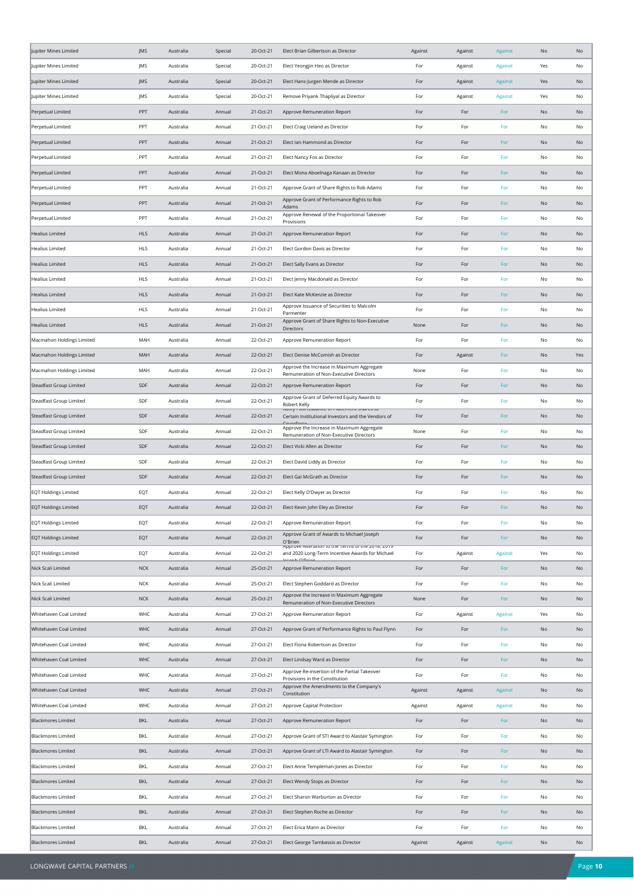| Jupiter Mines Limited                                      | JMS        | Australia              | Special          | 20-Oct-21              | Elect Brian Gilbertson as Director                                                                          | Against    | Against    | Against        | No       | No       |
|------------------------------------------------------------|------------|------------------------|------------------|------------------------|-------------------------------------------------------------------------------------------------------------|------------|------------|----------------|----------|----------|
| Jupiter Mines Limited                                      | JMS        | Australia              | Special          | 20-Oct-21              | Elect Yeongjin Heo as Director                                                                              | For        | Against    | Against        | Yes      | No       |
| Jupiter Mines Limited                                      | JMS        | Australia              | Special          | 20-Oct-21              | Elect Hans-Jurgen Mende as Director                                                                         | For        | Against    | Against        | Yes      | No       |
| Jupiter Mines Limited                                      | JMS        | Australia              | Special          | 20-Oct-21              | Remove Priyank Thapliyal as Director                                                                        | For        | Against    | Against        | Yes      | No       |
| Perpetual Limited                                          | PPT        | Australia              | Annual           | 21-Oct-21              | Approve Remuneration Report                                                                                 | For        | For        | For            | No       | No       |
| Perpetual Limited                                          | PPT        | Australia              | Annual           | 21-Oct-21              | Elect Craig Ueland as Director                                                                              | For        | For        | For            | No       | No       |
| Perpetual Limited                                          | PPT        | Australia              | Annual           | 21-Oct-21              | Elect Ian Hammond as Director                                                                               | For        | For        | For            | No       | No       |
| Perpetual Limited                                          | PPT        | Australia              | Annual           | 21-Oct-21              | Elect Nancy Fox as Director                                                                                 | For        | For        | For            | No       | No       |
| Perpetual Limited                                          | PPT        | Australia              | Annual           | 21-Oct-21              | Elect Mona Aboelnaga Kanaan as Director                                                                     | For        | For        | For            | No       | No       |
| Perpetual Limited                                          | PPT        | Australia              | Annual           | 21-Oct-21              | Approve Grant of Share Rights to Rob Adams                                                                  | For        | For        | For            | No       | No       |
| Perpetual Limited                                          | PPT        | Australia              | Annual           | 21-Oct-21              | Approve Grant of Performance Rights to Rob                                                                  | For        | For        | For            | No       | No       |
| Perpetual Limited                                          | PPT        | Australia              | Annual           | 21-Oct-21              | Adams<br>Approve Renewal of the Proportional Takeover                                                       | For        | For        | For            | No       | No       |
| <b>Healius Limited</b>                                     | <b>HLS</b> | Australia              | Annual           | 21-Oct-21              | Provisions<br>Approve Remuneration Report                                                                   | For        | For        | For            | No       | No       |
| <b>Healius Limited</b>                                     | <b>HLS</b> | Australia              | Annual           | 21-Oct-21              | Elect Gordon Davis as Director                                                                              | For        | For        | For            | No       | No       |
| <b>Healius Limited</b>                                     | <b>HLS</b> | Australia              | Annual           | 21-Oct-21              | Elect Sally Evans as Director                                                                               | For        | For        | For            | No       | No       |
| <b>Healius Limited</b>                                     | <b>HLS</b> | Australia              | Annual           | 21-Oct-21              | Elect Jenny Macdonald as Director                                                                           | For        | For        | For            | No       | No       |
| <b>Healius Limited</b>                                     | <b>HLS</b> | Australia              | Annual           | 21-Oct-21              | Elect Kate McKenzie as Director                                                                             | For        | For        | For            | No       | No       |
| <b>Healius Limited</b>                                     | <b>HLS</b> | Australia              | Annual           | 21-Oct-21              | Approve Issuance of Securities to Malcolm                                                                   | For        | For        | For            | No       | No       |
| <b>Healius Limited</b>                                     | <b>HLS</b> | Australia              | Annual           | 21-Oct-21              | Parmenter<br>Approve Grant of Share Rights to Non-Executive                                                 | None       | For        | For            | No       | No       |
| Macmahon Holdings Limited                                  | MAH        | Australia              | Annual           | 22-Oct-21              | <b>Directors</b><br>Approve Remuneration Report                                                             | For        | For        | For            | No       | No       |
| Macmahon Holdings Limited                                  | MAH        | Australia              | Annual           | 22-Oct-21              | Elect Denise McComish as Director                                                                           | For        | Against    | For            | No       | Yes      |
| Macmahon Holdings Limited                                  | MAH        | Australia              | Annual           | 22-Oct-21              | Approve the Increase in Maximum Aggregate                                                                   | None       | For        | For            | No       | No       |
| Steadfast Group Limited                                    | SDF        | Australia              | Annual           | 22-Oct-21              | Remuneration of Non-Executive Directors<br>Approve Remuneration Report                                      | For        | For        | For            | No       | No       |
| Steadfast Group Limited                                    | SDF        | Australia              | Annual           | 22-Oct-21              | Approve Grant of Deferred Equity Awards to                                                                  | For        | For        | For            | No       | No       |
| Steadfast Group Limited                                    | SDF        | Australia              | Annual           | 22-Oct-21              | Robert Kelly<br>שט כס ומות, והופכה וש המשפח המשפח המא<br>Certain Institutional Investors and the Vendors of | For        | For        | For            | No       | No       |
| Steadfast Group Limited                                    | SDF        | Australia              | Annual           | 22-Oct-21              | Approve the Increase in Maximum Aggregate                                                                   | None       | For        | For            | No       | No       |
| Steadfast Group Limited                                    | SDF        | Australia              | Annual           | 22-Oct-21              | Remuneration of Non-Executive Directors<br>Elect Vicki Allen as Director                                    | For        | For        | For            | No       | No       |
|                                                            | SDF        |                        |                  |                        |                                                                                                             |            |            |                |          |          |
| Steadfast Group Limited<br>Steadfast Group Limited         | SDF        | Australia<br>Australia | Annual<br>Annual | 22-Oct-21<br>22-Oct-21 | Elect David Liddy as Director<br>Elect Gai McGrath as Director                                              | For<br>For | For<br>For | For<br>For     | No<br>No | No<br>No |
| <b>EQT Holdings Limited</b>                                | EQT        | Australia              | Annual           | 22-Oct-21              | Elect Kelly O'Dwyer as Director                                                                             | For        | For        | For            | No       | No       |
| <b>EQT Holdings Limited</b>                                | EQT        | Australia              | Annual           | 22-Oct-21              | Elect Kevin John Eley as Director                                                                           | For        | For        | For            | No       | No       |
|                                                            |            |                        |                  |                        |                                                                                                             |            |            |                |          |          |
| <b>EQT Holdings Limited</b><br><b>EQT Holdings Limited</b> | EQT<br>EQT | Australia<br>Australia | Annual<br>Annual | 22-Oct-21<br>22-Oct-21 | Approve Remuneration Report<br>Approve Grant of Awards to Michael Joseph                                    | For<br>For | For<br>For | For<br>For     | No<br>No | No<br>No |
|                                                            |            |                        |                  |                        | O'Brien<br>Approve Anerauon to the remis or the zono, zone                                                  |            |            |                |          |          |
| <b>EQT Holdings Limited</b>                                | EQT        | Australia              | Annual           | 22-Oct-21              | and 2020 Long-Term Incentive Awards for Michael<br>Acash O'Dria                                             | For        | Against    | Against        | Yes      | No       |
| Nick Scali Limited                                         | $NCK$      | Australia              | Annual           | 25-Oct-21              | Approve Remuneration Report                                                                                 | For        | For        | For            | No       | No       |
| Nick Scali Limited                                         | <b>NCK</b> | Australia              | Annual           | 25-Oct-21              | Elect Stephen Goddard as Director<br>Approve the Increase in Maximum Aggregate                              | For        | For        | For            | No       | No       |
| Nick Scali Limited                                         | NCK        | Australia              | Annual           | 25-Oct-21              | Remuneration of Non-Executive Directors                                                                     | None       | For        | For            | No       | No       |
| Whitehaven Coal Limited                                    | WHC        | Australia              | Annual           | 27-Oct-21              | Approve Remuneration Report                                                                                 | For        | Against    | Against        | Yes      | No       |
| Whitehaven Coal Limited                                    | WHC        | Australia              | Annual           | 27-Oct-21              | Approve Grant of Performance Rights to Paul Flynn                                                           | For        | For        | For            | No       | No       |
| Whitehaven Coal Limited                                    | WHC        | Australia              | Annual           | 27-Oct-21              | Elect Fiona Robertson as Director                                                                           | For        | For        | For            | No       | No       |
| Whitehaven Coal Limited                                    | WHC        | Australia              | Annual           | 27-Oct-21              | Elect Lindsay Ward as Director<br>Approve Re-insertion of the Partial Takeover                              | For        | For        | For            | No       | No       |
| Whitehaven Coal Limited                                    | WHC        | Australia              | Annual           | 27-Oct-21              | Provisions in the Constitution<br>Approve the Amendments to the Company's                                   | For        | For        | For            | No       | No       |
| Whitehaven Coal Limited                                    | WHC        | Australia              | Annual           | 27-Oct-21              | Constitution                                                                                                | Against    | Against    | Against        | No       | No       |
| Whitehaven Coal Limited                                    | WHC        | Australia              | Annual           | 27-Oct-21              | Approve Capital Protection                                                                                  | Against    | Against    | Against        | No       | No       |
| <b>Blackmores Limited</b>                                  | <b>BKL</b> | Australia              | Annual           | 27-Oct-21              | Approve Remuneration Report                                                                                 | For        | For        | For            | No       | No       |
| <b>Blackmores Limited</b>                                  | BKL        | Australia              | Annual           | 27-Oct-21              | Approve Grant of STI Award to Alastair Symington                                                            | For        | For        | For            | No       | No       |
| <b>Blackmores Limited</b>                                  | <b>BKL</b> | Australia              | Annual           | 27-Oct-21              | Approve Grant of LTI Award to Alastair Symington                                                            | For        | For        | For            | No       | No       |
| <b>Blackmores Limited</b>                                  | BKL        | Australia              | Annual           | 27-Oct-21              | Elect Anne Templeman-Jones as Director                                                                      | For        | For        | For            | No       | No       |
| <b>Blackmores Limited</b>                                  | <b>BKL</b> | Australia              | Annual           | 27-Oct-21              | Elect Wendy Stops as Director                                                                               | For        | For        | For            | No       | No       |
| <b>Blackmores Limited</b>                                  | BKL        | Australia              | Annual           | 27-Oct-21              | Elect Sharon Warburton as Director                                                                          | For        | For        | For            | No       | No       |
| <b>Blackmores Limited</b>                                  | <b>BKL</b> | Australia              | Annual           | 27-Oct-21              | Elect Stephen Roche as Director                                                                             | For        | For        | For            | No       | No       |
| <b>Blackmores Limited</b>                                  | BKL        | Australia              | Annual           | 27-Oct-21              | Elect Erica Mann as Director                                                                                | For        | For        | For            | No       | No       |
| <b>Blackmores Limited</b>                                  | <b>BKL</b> | Australia              | Annual           | 27-Oct-21              | Elect George Tambassis as Director                                                                          | Against    | Against    | <b>Against</b> | No       | No       |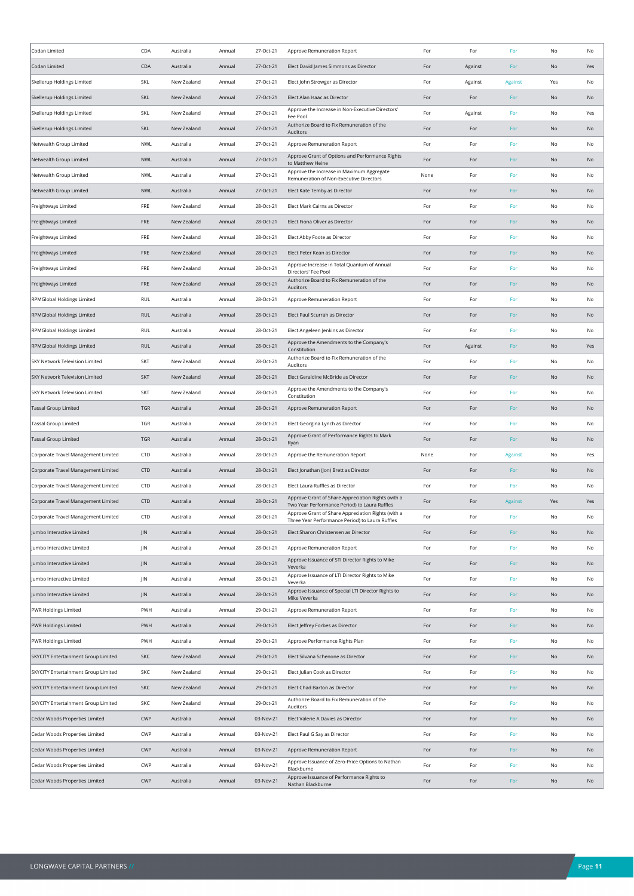| Codan Limited                       | CDA        | Australia   | Annual | 27-Oct-21 | Approve Remuneration Report                                                                           | For  | For     | For            | No            | No        |
|-------------------------------------|------------|-------------|--------|-----------|-------------------------------------------------------------------------------------------------------|------|---------|----------------|---------------|-----------|
| Codan Limited                       | CDA        | Australia   | Annual | 27-Oct-21 | Elect David James Simmons as Director                                                                 | For  | Against | For            | No            | Yes       |
| Skellerup Holdings Limited          | SKL        | New Zealand | Annual | 27-Oct-21 | Elect John Strowger as Director                                                                       | For  | Against | <b>Against</b> | Yes           | No        |
| Skellerup Holdings Limited          | <b>SKL</b> | New Zealand | Annual | 27-Oct-21 | Elect Alan Isaac as Director                                                                          | For  | For     | For            | No            | No        |
| Skellerup Holdings Limited          | SKL        | New Zealand | Annual | 27-Oct-21 | Approve the Increase in Non-Executive Directors'<br>Fee Pool                                          | For  | Against | For            | No            | Yes       |
| Skellerup Holdings Limited          | <b>SKL</b> | New Zealand | Annual | 27-Oct-21 | Authorize Board to Fix Remuneration of the<br>Auditors                                                | For  | For     | For            | No            | No        |
| Netwealth Group Limited             | NWL        | Australia   | Annual | 27-Oct-21 | Approve Remuneration Report                                                                           | For  | For     | For            | No            | No        |
| Netwealth Group Limited             | <b>NWL</b> | Australia   | Annual | 27-Oct-21 | Approve Grant of Options and Performance Rights<br>to Matthew Heine                                   | For  | For     | For            | No            | <b>No</b> |
| Netwealth Group Limited             | <b>NWL</b> | Australia   | Annual | 27-Oct-21 | Approve the Increase in Maximum Aggregate<br>Remuneration of Non-Executive Directors                  | None | For     | For            | No            | No        |
| Netwealth Group Limited             | <b>NWL</b> | Australia   | Annual | 27-Oct-21 | Elect Kate Temby as Director                                                                          | For  | For     | For            | No            | No        |
| Freightways Limited                 | FRE        | New Zealand | Annual | 28-Oct-21 | Elect Mark Cairns as Director                                                                         | For  | For     | For            | No            | No        |
| Freightways Limited                 | <b>FRE</b> | New Zealand | Annual | 28-Oct-21 | Elect Fiona Oliver as Director                                                                        | For  | For     | For            | No            | No        |
| Freightways Limited                 | FRE        | New Zealand | Annual | 28-Oct-21 | Elect Abby Foote as Director                                                                          | For  | For     | For            | No            | No        |
| Freightways Limited                 | FRE        | New Zealand | Annual | 28-Oct-21 | Elect Peter Kean as Director                                                                          | For  | For     | For            | No            | <b>No</b> |
| Freightways Limited                 | FRE        | New Zealand | Annual | 28-Oct-21 | Approve Increase in Total Quantum of Annual<br>Directors' Fee Pool                                    | For  | For     | For            | No            | No        |
| Freightways Limited                 | FRE        | New Zealand | Annual | 28-Oct-21 | Authorize Board to Fix Remuneration of the<br>Auditors                                                | For  | For     | For            | No            | No        |
| RPMGlobal Holdings Limited          | <b>RUL</b> | Australia   | Annual | 28-Oct-21 | Approve Remuneration Report                                                                           | For  | For     | For            | No            | No        |
| RPMGlobal Holdings Limited          | <b>RUL</b> | Australia   | Annual | 28-Oct-21 | Elect Paul Scurrah as Director                                                                        | For  | For     | For            | No            | No        |
| RPMGlobal Holdings Limited          | <b>RUL</b> | Australia   | Annual | 28-Oct-21 | Elect Angeleen Jenkins as Director                                                                    | For  | For     | For            | No            | No        |
| RPMGlobal Holdings Limited          | <b>RUL</b> | Australia   | Annual | 28-Oct-21 | Approve the Amendments to the Company's<br>Constitution                                               | For  | Against | For            | No            | Yes       |
| SKY Network Television Limited      | <b>SKT</b> | New Zealand | Annual | 28-Oct-21 | Authorize Board to Fix Remuneration of the<br>Auditors                                                | For  | For     | For            | No            | No        |
| SKY Network Television Limited      | SKT        | New Zealand | Annual | 28-Oct-21 | Elect Geraldine McBride as Director                                                                   | For  | For     | For            | No            | No        |
| SKY Network Television Limited      | <b>SKT</b> | New Zealand | Annual | 28-Oct-21 | Approve the Amendments to the Company's<br>Constitution                                               | For  | For     | For            | No            | No        |
| <b>Tassal Group Limited</b>         | <b>TGR</b> | Australia   | Annual | 28-Oct-21 | Approve Remuneration Report                                                                           | For  | For     | For            | No            | No        |
| Tassal Group Limited                | TGR        | Australia   | Annual | 28-Oct-21 | Elect Georgina Lynch as Director                                                                      | For  | For     | For            | No            | No        |
| Tassal Group Limited                | <b>TGR</b> | Australia   | Annual | 28-Oct-21 | Approve Grant of Performance Rights to Mark<br>Ryan                                                   | For  | For     | For            | No            | No        |
| Corporate Travel Management Limited | CTD        | Australia   | Annual | 28-Oct-21 | Approve the Remuneration Report                                                                       | None | For     | Against        | No            | Yes       |
| Corporate Travel Management Limited | CTD        | Australia   | Annual | 28-Oct-21 | Elect Jonathan (Jon) Brett as Director                                                                | For  | For     | For            | No            | No        |
| Corporate Travel Management Limited | CTD        | Australia   | Annual | 28-Oct-21 | Elect Laura Ruffles as Director                                                                       | For  | For     | For            | No            | No        |
| Corporate Travel Management Limited | <b>CTD</b> | Australia   | Annual | 28-Oct-21 | Approve Grant of Share Appreciation Rights (with a<br>Two Year Performance Period) to Laura Ruffles   | For  | For     | Against        | Yes           | Yes       |
| Corporate Travel Management Limited | CTD        | Australia   | Annual | 28-Oct-21 | Approve Grant of Share Appreciation Rights (with a<br>Three Year Performance Period) to Laura Ruffles | For  | For     | For            | No            | No        |
| Jumbo Interactive Limited           | <b>JIN</b> | Australia   | Annual | 28-Oct-21 | Elect Sharon Christensen as Director                                                                  | For  | For     | For            | No            | No        |
| Jumbo Interactive Limited           | JIN        | Australia   | Annual | 28-Oct-21 | Approve Remuneration Report                                                                           | For  | For     | For            | No            | No        |
| Jumbo Interactive Limited           | JIN        | Australia   | Annual | 28-Oct-21 | Approve Issuance of STI Director Rights to Mike<br>Veverka                                            | For  | For     | For            | No            | No        |
| Jumbo Interactive Limited           | JIN        | Australia   | Annual | 28-Oct-21 | Approve Issuance of LTI Director Rights to Mike<br>Veverka                                            | For  | For     | For            | No            | No        |
| Jumbo Interactive Limited           | JIN        | Australia   | Annual | 28-Oct-21 | Approve Issuance of Special LTI Director Rights to<br>Mike Veverka                                    | For  | For     | For            | No            | No        |
| PWR Holdings Limited                | PWH        | Australia   | Annual | 29-Oct-21 | Approve Remuneration Report                                                                           | For  | For     | For            | No            | No        |
| PWR Holdings Limited                | PWH        | Australia   | Annual | 29-Oct-21 | Elect Jeffrey Forbes as Director                                                                      | For  | For     | For            | No            | No        |
| PWR Holdings Limited                | PWH        | Australia   | Annual | 29-Oct-21 | Approve Performance Rights Plan                                                                       | For  | For     | For            | No            | No        |
| SKYCITY Entertainment Group Limited | SKC        | New Zealand | Annual | 29-Oct-21 | Elect Silvana Schenone as Director                                                                    | For  | For     | For            | No            | No        |
| SKYCITY Entertainment Group Limited | SKC        | New Zealand | Annual | 29-Oct-21 | Elect Julian Cook as Director                                                                         | For  | For     | For            | No            | No        |
| SKYCITY Entertainment Group Limited | <b>SKC</b> | New Zealand | Annual | 29-Oct-21 | Elect Chad Barton as Director                                                                         | For  | For     | For            | No            | No        |
| SKYCITY Entertainment Group Limited | SKC        | New Zealand | Annual | 29-Oct-21 | Authorize Board to Fix Remuneration of the<br>Auditors                                                | For  | For     | For            | No            | No        |
| Cedar Woods Properties Limited      | CWP        | Australia   | Annual | 03-Nov-21 | Elect Valerie A Davies as Director                                                                    | For  | For     | For            | $\mathsf{No}$ | No        |
| Cedar Woods Properties Limited      | CWP        | Australia   | Annual | 03-Nov-21 | Elect Paul G Say as Director                                                                          | For  | For     | For            | No            | No        |
| Cedar Woods Properties Limited      | CWP        | Australia   | Annual | 03-Nov-21 | Approve Remuneration Report                                                                           | For  | For     | For            | No            | No        |
| Cedar Woods Properties Limited      | CWP        | Australia   | Annual | 03-Nov-21 | Approve Issuance of Zero-Price Options to Nathan<br>Blackburne                                        | For  | For     | For            | No            | No        |
|                                     |            |             | Annual | 03-Nov-21 | Approve Issuance of Performance Rights to                                                             | For  | For     | For            | No            | No        |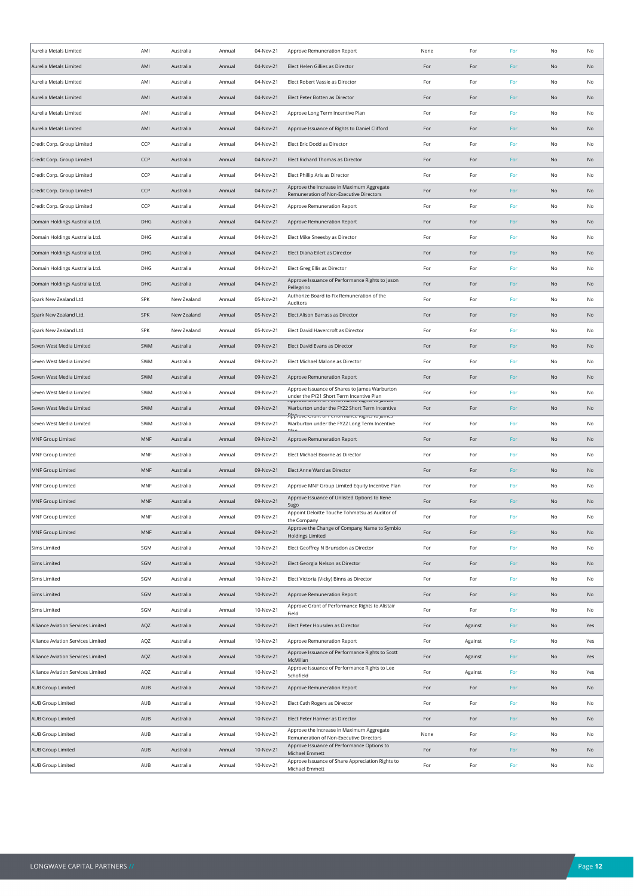| Aurelia Metals Limited             | AMI        | Australia   | Annual | 04-Nov-21 | Approve Remuneration Report                                                                                                                                      | None | For     | For | No            | No  |
|------------------------------------|------------|-------------|--------|-----------|------------------------------------------------------------------------------------------------------------------------------------------------------------------|------|---------|-----|---------------|-----|
| Aurelia Metals Limited             | AMI        | Australia   | Annual | 04-Nov-21 | Elect Helen Gillies as Director                                                                                                                                  | For  | For     | For | No            | No  |
| Aurelia Metals Limited             | AMI        | Australia   | Annual | 04-Nov-21 | Elect Robert Vassie as Director                                                                                                                                  | For  | For     | For | No            | No  |
| Aurelia Metals Limited             | AMI        | Australia   | Annual | 04-Nov-21 | Elect Peter Botten as Director                                                                                                                                   | For  | For     | For | No            | No  |
| Aurelia Metals Limited             | AMI        | Australia   | Annual | 04-Nov-21 | Approve Long Term Incentive Plan                                                                                                                                 | For  | For     | For | No            | No  |
| Aurelia Metals Limited             | AMI        | Australia   | Annual | 04-Nov-21 | Approve Issuance of Rights to Daniel Clifford                                                                                                                    | For  | For     | For | No            | No  |
| Credit Corp. Group Limited         | CCP        | Australia   | Annual | 04-Nov-21 | Elect Eric Dodd as Director                                                                                                                                      | For  | For     | For | No            | No  |
| Credit Corp. Group Limited         | CCP        | Australia   | Annual | 04-Nov-21 | Elect Richard Thomas as Director                                                                                                                                 | For  | For     | For | No            | No  |
| Credit Corp. Group Limited         | CCP        | Australia   | Annual | 04-Nov-21 | Elect Phillip Aris as Director                                                                                                                                   | For  | For     | For | No            | No  |
| Credit Corp. Group Limited         | CCP        | Australia   | Annual | 04-Nov-21 | Approve the Increase in Maximum Aggregate<br>Remuneration of Non-Executive Directors                                                                             | For  | For     | For | No            | No  |
| Credit Corp. Group Limited         | CCP        | Australia   | Annual | 04-Nov-21 | Approve Remuneration Report                                                                                                                                      | For  | For     | For | No            | No  |
| Domain Holdings Australia Ltd.     | DHG        | Australia   | Annual | 04-Nov-21 | Approve Remuneration Report                                                                                                                                      | For  | For     | For | No            | No  |
| Domain Holdings Australia Ltd.     | DHG        | Australia   | Annual | 04-Nov-21 | Elect Mike Sneesby as Director                                                                                                                                   | For  | For     | For | No            | No  |
| Domain Holdings Australia Ltd.     | DHG        | Australia   | Annual | 04-Nov-21 | Elect Diana Eilert as Director                                                                                                                                   | For  | For     | For | No            | No  |
| Domain Holdings Australia Ltd.     | DHG        | Australia   | Annual | 04-Nov-21 | Elect Greg Ellis as Director                                                                                                                                     | For  | For     | For | No            | No  |
| Domain Holdings Australia Ltd.     | DHG        | Australia   | Annual | 04-Nov-21 | Approve Issuance of Performance Rights to Jason<br>Pellegrino                                                                                                    | For  | For     | For | No            | No  |
| Spark New Zealand Ltd.             | <b>SPK</b> | New Zealand | Annual | 05-Nov-21 | Authorize Board to Fix Remuneration of the<br>Auditors                                                                                                           | For  | For     | For | No            | No  |
| Spark New Zealand Ltd.             | <b>SPK</b> | New Zealand | Annual | 05-Nov-21 | Elect Alison Barrass as Director                                                                                                                                 | For  | For     | For | No            | No  |
| Spark New Zealand Ltd.             | <b>SPK</b> | New Zealand | Annual | 05-Nov-21 | Elect David Havercroft as Director                                                                                                                               | For  | For     | For | No            | No  |
| Seven West Media Limited           | SWM        | Australia   | Annual | 09-Nov-21 | Elect David Evans as Director                                                                                                                                    | For  | For     | For | No            | No  |
| Seven West Media Limited           | SWM        | Australia   | Annual | 09-Nov-21 | Elect Michael Malone as Director                                                                                                                                 | For  | For     | For | No            | No  |
| Seven West Media Limited           | SWM        | Australia   | Annual | 09-Nov-21 | Approve Remuneration Report                                                                                                                                      | For  | For     | For | No            | No  |
| Seven West Media Limited           | SWM        | Australia   | Annual | 09-Nov-21 | Approve Issuance of Shares to James Warburton<br>under the FY21 Short Term Incentive Plan                                                                        | For  | For     | For | No            | No  |
| Seven West Media Limited           | SWM        | Australia   | Annual | 09-Nov-21 | יכון האינו היה מידע המונח המונח המונח המונח המונח המונח המונח המונח המונח המונח המונח המונח המונח המונח המונח ה<br>Warburton under the FY22 Short Term Incentive | For  | For     | For | No            | No  |
| Seven West Media Limited           | SWM        | Australia   | Annual | 09-Nov-21 | Rpp ove arant or nerrormance rughts to james<br>Warburton under the FY22 Long Term Incentive<br>DI o                                                             | For  | For     | For | No            | No  |
| <b>MNF Group Limited</b>           | MNF        | Australia   | Annual | 09-Nov-21 | Approve Remuneration Report                                                                                                                                      | For  | For     | For | No            | No  |
| MNF Group Limited                  | MNF        | Australia   | Annual | 09-Nov-21 | Elect Michael Boorne as Director                                                                                                                                 | For  | For     | For | No            | No  |
| MNF Group Limited                  | MNF        | Australia   | Annual | 09-Nov-21 | Elect Anne Ward as Director                                                                                                                                      | For  | For     | For | No            | No  |
| MNF Group Limited                  | MNF        | Australia   | Annual | 09-Nov-21 | Approve MNF Group Limited Equity Incentive Plan                                                                                                                  | For  | For     | For | No            | No  |
| <b>MNF Group Limited</b>           | MNF        | Australia   | Annual | 09-Nov-21 | Approve Issuance of Unlisted Options to Rene<br>Sugo                                                                                                             | For  | For     | For | No            | No  |
| <b>MNF Group Limited</b>           | MNF        | Australia   | Annual | 09-Nov-21 | Appoint Deloitte Touche Tohmatsu as Auditor of<br>the Company                                                                                                    | For  | For     | For | No            | No  |
| <b>MNF Group Limited</b>           | MNF        | Australia   | Annual | 09-Nov-21 | Approve the Change of Company Name to Symbio<br><b>Holdings Limited</b>                                                                                          | For  | For     | For | No            | No  |
| <b>Sims Limited</b>                | SGM        | Australia   | Annual | 10-Nov-21 | Elect Geoffrey N Brunsdon as Director                                                                                                                            | For  | For     | For | $\mathsf{No}$ | No  |
| Sims Limited                       | SGM        | Australia   | Annual | 10-Nov-21 | Elect Georgia Nelson as Director                                                                                                                                 | For  | For     | For | No            | No  |
| <b>Sims Limited</b>                | SGM        | Australia   | Annual | 10-Nov-21 | Elect Victoria (Vicky) Binns as Director                                                                                                                         | For  | For     | For | $\mathsf{No}$ | No  |
| <b>Sims Limited</b>                | SGM        | Australia   | Annual | 10-Nov-21 | Approve Remuneration Report                                                                                                                                      | For  | For     | For | No            | No  |
| Sims Limited                       | SGM        | Australia   | Annual | 10-Nov-21 | Approve Grant of Performance Rights to Alistair<br>Field                                                                                                         | For  | For     | For | No            | No  |
| Alliance Aviation Services Limited | AQZ        | Australia   | Annual | 10-Nov-21 | Elect Peter Housden as Director                                                                                                                                  | For  | Against | For | No            | Yes |
| Alliance Aviation Services Limited | AQZ        | Australia   | Annual | 10-Nov-21 | Approve Remuneration Report                                                                                                                                      | For  | Against | For | $\mathsf{No}$ | Yes |
| Alliance Aviation Services Limited | AQZ        | Australia   | Annual | 10-Nov-21 | Approve Issuance of Performance Rights to Scott<br>McMillan                                                                                                      | For  | Against | For | $\mathsf{No}$ | Yes |
| Alliance Aviation Services Limited | AQZ        | Australia   | Annual | 10-Nov-21 | Approve Issuance of Performance Rights to Lee<br>Schofield                                                                                                       | For  | Against | For | No            | Yes |
| AUB Group Limited                  | AUB        | Australia   | Annual | 10-Nov-21 | Approve Remuneration Report                                                                                                                                      | For  | For     | For | No            | No  |
| AUB Group Limited                  | AUB        | Australia   | Annual | 10-Nov-21 | Elect Cath Rogers as Director                                                                                                                                    | For  | For     | For | No            | No  |
| AUB Group Limited                  | AUB        | Australia   | Annual | 10-Nov-21 | Elect Peter Harmer as Director                                                                                                                                   | For  | For     | For | $\mathsf{No}$ | No  |
| AUB Group Limited                  | AUB        | Australia   | Annual | 10-Nov-21 | Approve the Increase in Maximum Aggregate<br>Remuneration of Non-Executive Directors                                                                             | None | For     | For | No            | No  |
| AUB Group Limited                  | AUB        | Australia   | Annual | 10-Nov-21 | Approve Issuance of Performance Options to<br>Michael Emmett                                                                                                     | For  | For     | For | No            | No  |
| AUB Group Limited                  | AUB        | Australia   | Annual | 10-Nov-21 | Approve Issuance of Share Appreciation Rights to<br>Michael Emmett                                                                                               | For  | For     | For | No            | No  |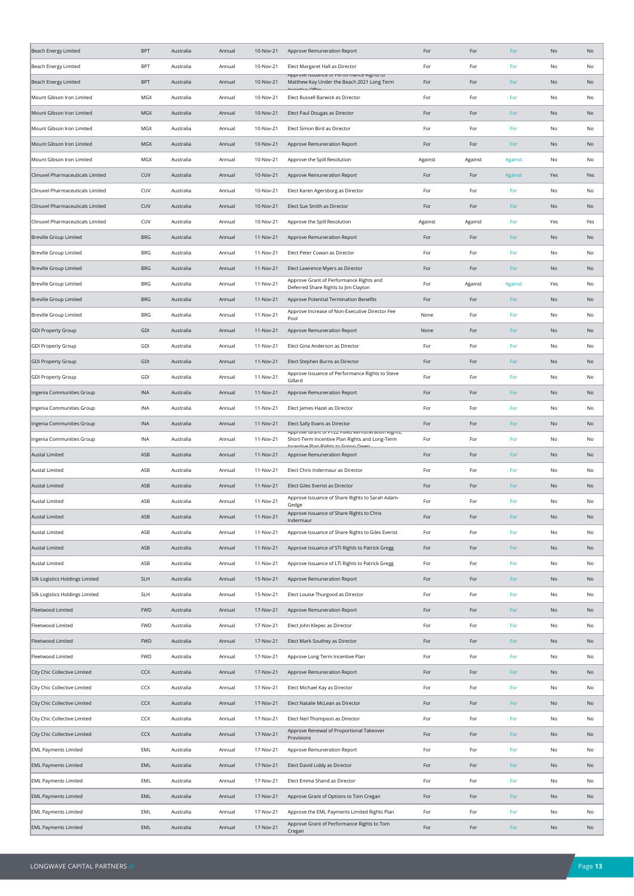| Beach Energy Limited             | <b>BPT</b> | Australia | Annual | 10-Nov-21 | Approve Remuneration Report                                                                | For     | For     | For            | No            | No  |
|----------------------------------|------------|-----------|--------|-----------|--------------------------------------------------------------------------------------------|---------|---------|----------------|---------------|-----|
| Beach Energy Limited             | <b>BPT</b> | Australia | Annual | 10-Nov-21 | Elect Margaret Hall as Director                                                            | For     | For     | For            | No            | No  |
| Beach Energy Limited             | <b>BPT</b> | Australia | Annual | 10-Nov-21 | אטטווער ואשטווער טו הכוומוויוסווגר עוצוונאנט<br>Matthew Kay Under the Beach 2021 Long Term | For     | For     | For            | No            | No  |
| Mount Gibson Iron Limited        | MGX        | Australia | Annual | 10-Nov-21 | Elect Russell Barwick as Director                                                          | For     | For     | For            | No            | No  |
| Mount Gibson Iron Limited        | <b>MGX</b> | Australia | Annual | 10-Nov-21 | Elect Paul Dougas as Director                                                              | For     | For     | For            | No            | No  |
| Mount Gibson Iron Limited        | MGX        | Australia | Annual | 10-Nov-21 | Elect Simon Bird as Director                                                               | For     | For     | For            | No            | No  |
| Mount Gibson Iron Limited        | <b>MGX</b> | Australia | Annual | 10-Nov-21 | Approve Remuneration Report                                                                | For     | For     | For            | No            | No  |
| Mount Gibson Iron Limited        | MGX        | Australia | Annual | 10-Nov-21 | Approve the Spill Resolution                                                               | Against | Against | Against        | No            | No  |
| Clinuvel Pharmaceuticals Limited | CUV        | Australia | Annual | 10-Nov-21 | Approve Remuneration Report                                                                | For     | For     | <b>Against</b> | Yes           | Yes |
| Clinuvel Pharmaceuticals Limited | CUV        | Australia | Annual | 10-Nov-21 | Elect Karen Agersborg as Director                                                          | For     | For     | For            | No            | No  |
| Clinuvel Pharmaceuticals Limited | CUV        | Australia | Annual | 10-Nov-21 | Elect Sue Smith as Director                                                                | For     | For     | For            | No            | No  |
| Clinuvel Pharmaceuticals Limited | CUV        | Australia | Annual | 10-Nov-21 | Approve the Spill Resolution                                                               | Against | Against | For            | Yes           | Yes |
| <b>Breville Group Limited</b>    | <b>BRG</b> | Australia | Annual | 11-Nov-21 | Approve Remuneration Report                                                                | For     | For     | For            | No            | No  |
| <b>Breville Group Limited</b>    | <b>BRG</b> | Australia | Annual | 11-Nov-21 | Elect Peter Cowan as Director                                                              | For     | For     | For            | No            | No  |
|                                  |            |           |        |           |                                                                                            |         |         |                |               |     |
| <b>Breville Group Limited</b>    | <b>BRG</b> | Australia | Annual | 11-Nov-21 | Elect Lawrence Myers as Director<br>Approve Grant of Performance Rights and                | For     | For     | For            | No            | No  |
| <b>Breville Group Limited</b>    | BRG        | Australia | Annual | 11-Nov-21 | Deferred Share Rights to Jim Clayton                                                       | For     | Against | Against        | Yes           | No  |
| <b>Breville Group Limited</b>    | <b>BRG</b> | Australia | Annual | 11-Nov-21 | Approve Potential Termination Benefits<br>Approve Increase of Non-Executive Director Fee   | For     | For     | For            | No            | No  |
| <b>Breville Group Limited</b>    | <b>BRG</b> | Australia | Annual | 11-Nov-21 | Pool                                                                                       | None    | For     | For            | No            | No  |
| <b>GDI Property Group</b>        | GDI        | Australia | Annual | 11-Nov-21 | Approve Remuneration Report                                                                | None    | For     | For            | No            | No  |
| <b>GDI Property Group</b>        | GDI        | Australia | Annual | 11-Nov-21 | Elect Gina Anderson as Director                                                            | For     | For     | For            | No            | No  |
| <b>GDI Property Group</b>        | GDI        | Australia | Annual | 11-Nov-21 | Elect Stephen Burns as Director                                                            | For     | For     | For            | No            | No  |
| GDI Property Group               | GDI        | Australia | Annual | 11-Nov-21 | Approve Issuance of Performance Rights to Steve<br>Gillard                                 | For     | For     | For            | No            | No  |
| Ingenia Communities Group        | <b>INA</b> | Australia | Annual | 11-Nov-21 | Approve Remuneration Report                                                                | For     | For     | For            | No            | No  |
| Ingenia Communities Group        | INA        | Australia | Annual | 11-Nov-21 | Elect James Hazel as Director                                                              | For     | For     | For            | No            | No  |
| Ingenia Communities Group        | INA        | Australia | Annual | 11-Nov-21 | Elect Sally Evans as Director<br>Approve Grant or FTZZ FIXed Nemaneration Nights,          | For     | For     | For            | No            | No  |
| ngenia Communities Group         | INA        | Australia | Annual | 11-Nov-21 | Short-Term Incentive Plan Rights and Long-Term<br>Incontivo Dian Diahte to Cimon Ower      | For     | For     | For            | No            | No  |
| Austal Limited                   | ASB        | Australia | Annual | 11-Nov-21 | Approve Remuneration Report                                                                | For     | For     | For            | No            | No  |
| Austal Limited                   | ASB        | Australia | Annual | 11-Nov-21 | Elect Chris Indermaur as Director                                                          | For     | For     | For            | No            | No  |
| Austal Limited                   | ASB        | Australia | Annual | 11-Nov-21 | Elect Giles Everist as Director                                                            | For     | For     | For            | No            | No  |
| Austal Limited                   | ASB        | Australia | Annual | 11-Nov-21 | Approve Issuance of Share Rights to Sarah Adam-<br>Gedge                                   | For     | For     | For            | No            | No  |
| Austal Limited                   | ASB        | Australia | Annual | 11-Nov-21 | Approve Issuance of Share Rights to Chris<br>Indermaur                                     | For     | For     | For            | No            | No  |
| Austal Limited                   | ASB        | Australia | Annual | 11-Nov-21 | Approve Issuance of Share Rights to Giles Everist                                          | For     | For     | For            | No            | No  |
| <b>Austal Limited</b>            | ASB        | Australia | Annual | 11-Nov-21 | Approve Issuance of STI Rights to Patrick Gregg                                            | For     | For     | For            | $\mathsf{No}$ | No  |
| Austal Limited                   | ASB        | Australia | Annual | 11-Nov-21 | Approve Issuance of LTI Rights to Patrick Gregg                                            | For     | For     | For            | No            | No  |
| Silk Logistics Holdings Limited  | <b>SLH</b> | Australia | Annual | 15-Nov-21 | Approve Remuneration Report                                                                | For     | For     | For            | No            | No  |
| Silk Logistics Holdings Limited  | <b>SLH</b> | Australia | Annual | 15-Nov-21 | Elect Louise Thurgood as Director                                                          | For     | For     | For            | No            | No  |
| Fleetwood Limited                | <b>FWD</b> | Australia | Annual | 17-Nov-21 | Approve Remuneration Report                                                                | For     | For     | For            | $\mathsf{No}$ | No  |
| Fleetwood Limited                | <b>FWD</b> | Australia | Annual | 17-Nov-21 | Elect John Klepec as Director                                                              | For     | For     | For            | No            | No  |
| Fleetwood Limited                | <b>FWD</b> | Australia | Annual | 17-Nov-21 | Elect Mark Southey as Director                                                             | For     | For     | For            | No            | No  |
| Fleetwood Limited                | <b>FWD</b> | Australia | Annual | 17-Nov-21 | Approve Long Term Incentive Plan                                                           | For     | For     | For            | No            | No  |
| City Chic Collective Limited     | CCX        | Australia | Annual | 17-Nov-21 | Approve Remuneration Report                                                                | For     | For     | For            | No            | No  |
| City Chic Collective Limited     | CCX        | Australia | Annual | 17-Nov-21 | Elect Michael Kay as Director                                                              | For     | For     | For            | No            | No  |
| City Chic Collective Limited     | CCX        | Australia | Annual | 17-Nov-21 | Elect Natalie McLean as Director                                                           | For     | For     | For            | No            | No  |
| City Chic Collective Limited     | CCX        | Australia | Annual | 17-Nov-21 | Elect Neil Thompson as Director                                                            | For     | For     | For            | No            | No  |
| City Chic Collective Limited     | CCX        | Australia | Annual | 17-Nov-21 | Approve Renewal of Proportional Takeover                                                   | For     | For     | For            | No            | No  |
| <b>EML Payments Limited</b>      | EML        | Australia | Annual | 17-Nov-21 | Provisions                                                                                 | For     | For     | For            | No            | No  |
|                                  |            |           |        |           | Approve Remuneration Report                                                                |         |         |                |               |     |
| <b>EML Payments Limited</b>      | EML        | Australia | Annual | 17-Nov-21 | Elect David Liddy as Director                                                              | For     | For     | For            | No            | No  |
| <b>EML Payments Limited</b>      | EML        | Australia | Annual | 17-Nov-21 | Elect Emma Shand as Director                                                               | For     | For     | For            | No            | No  |
| <b>EML Payments Limited</b>      | EML        | Australia | Annual | 17-Nov-21 | Approve Grant of Options to Tom Cregan                                                     | For     | For     | For            | No            | No  |
| <b>EML Payments Limited</b>      | EML        | Australia | Annual | 17-Nov-21 | Approve the EML Payments Limited Rights Plan<br>Approve Grant of Performance Rights to Tom | For     | For     | For            | No            | No  |
| <b>EML Payments Limited</b>      | EML        | Australia | Annual | 17-Nov-21 | Cregan                                                                                     | For     | For     | For            | $\mathsf{No}$ | No  |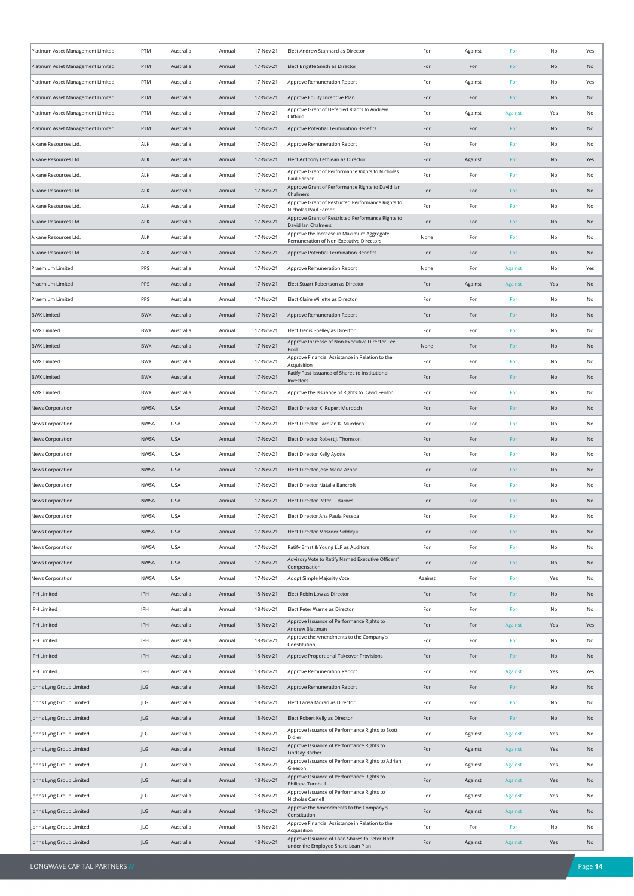| Platinum Asset Management Limited | PTM         | Australia  | Annual | 17-Nov-21 | Elect Andrew Stannard as Director                                                         | For     | Against | For            | No            | Yes |
|-----------------------------------|-------------|------------|--------|-----------|-------------------------------------------------------------------------------------------|---------|---------|----------------|---------------|-----|
| Platinum Asset Management Limited | PTM         | Australia  | Annual | 17-Nov-21 | Elect Brigitte Smith as Director                                                          | For     | For     | For            | No            | No  |
| Platinum Asset Management Limited | PTM         | Australia  | Annual | 17-Nov-21 | Approve Remuneration Report                                                               | For     | Against | For            | No            | Yes |
| Platinum Asset Management Limited | PTM         | Australia  | Annual | 17-Nov-21 | Approve Equity Incentive Plan                                                             | For     | For     | For            | No            | No  |
| Platinum Asset Management Limited | PTM         | Australia  | Annual | 17-Nov-21 | Approve Grant of Deferred Rights to Andrew<br>Clifford                                    | For     | Against | Against        | Yes           | No  |
| Platinum Asset Management Limited | PTM         | Australia  | Annual | 17-Nov-21 | Approve Potential Termination Benefits                                                    | For     | For     | For            | No            | No  |
| Alkane Resources Ltd.             | ALK         | Australia  | Annual | 17-Nov-21 | Approve Remuneration Report                                                               | For     | For     | For            | No            | No  |
| Alkane Resources Ltd.             | ALK         | Australia  | Annual | 17-Nov-21 | Elect Anthony Lethlean as Director                                                        | For     | Against | For            | No            | Yes |
| Alkane Resources Ltd.             | ALK         | Australia  | Annual | 17-Nov-21 | Approve Grant of Performance Rights to Nicholas<br>Paul Earner                            | For     | For     | For            | No            | No  |
| Alkane Resources Ltd.             | ALK         | Australia  | Annual | 17-Nov-21 | Approve Grant of Performance Rights to David Ian<br>Chalmers                              | For     | For     | For            | No            | No  |
| Alkane Resources Ltd.             | ALK         | Australia  | Annual | 17-Nov-21 | Approve Grant of Restricted Performance Rights to<br>Nicholas Paul Earner                 | For     | For     | For            | No            | No  |
| Alkane Resources Ltd.             | <b>ALK</b>  | Australia  | Annual | 17-Nov-21 | Approve Grant of Restricted Performance Rights to<br>David Ian Chalmers                   | For     | For     | For            | No            | No  |
| Alkane Resources Ltd.             | ALK         | Australia  | Annual | 17-Nov-21 | Approve the Increase in Maximum Aggregate<br>Remuneration of Non-Executive Directors      | None    | For     | For            | No            | No  |
| Alkane Resources Ltd.             | ALK         | Australia  | Annual | 17-Nov-21 | Approve Potential Termination Benefits                                                    | For     | For     | For            | No            | No  |
| Praemium Limited                  | PPS         | Australia  | Annual | 17-Nov-21 | Approve Remuneration Report                                                               | None    | For     | <b>Against</b> | No            | Yes |
| Praemium Limited                  | <b>PPS</b>  | Australia  | Annual | 17-Nov-21 | Elect Stuart Robertson as Director                                                        | For     | Against | Against        | Yes           | No  |
| Praemium Limited                  | <b>PPS</b>  | Australia  | Annual | 17-Nov-21 | Elect Claire Willette as Director                                                         | For     | For     | For            | No            | No  |
| <b>BWX Limited</b>                | <b>BWX</b>  | Australia  | Annual | 17-Nov-21 | Approve Remuneration Report                                                               | For     | For     | For            | No            | No  |
| <b>BWX Limited</b>                | <b>BWX</b>  | Australia  | Annual | 17-Nov-21 | Elect Denis Shelley as Director                                                           | For     | For     | For            | No            | No  |
| <b>BWX Limited</b>                | <b>BWX</b>  | Australia  | Annual | 17-Nov-21 | Approve Increase of Non-Executive Director Fee                                            | None    | For     | For            | No            | No  |
| <b>BWX Limited</b>                | <b>BWX</b>  | Australia  | Annual | 17-Nov-21 | Pool<br>Approve Financial Assistance in Relation to the                                   | For     | For     | For            | No            | No  |
| <b>BWX Limited</b>                | <b>BWX</b>  | Australia  | Annual | 17-Nov-21 | Acquisition<br>Ratify Past Issuance of Shares to Institutional                            | For     | For     | For            | No            | No  |
| <b>BWX Limited</b>                | <b>BWX</b>  | Australia  | Annual | 17-Nov-21 | Investors<br>Approve the Issuance of Rights to David Fenlon                               | For     | For     | For            | No            | No  |
| News Corporation                  | <b>NWSA</b> | <b>USA</b> | Annual | 17-Nov-21 | Elect Director K. Rupert Murdoch                                                          | For     | For     | For            | No            | No  |
| News Corporation                  | <b>NWSA</b> | <b>USA</b> | Annual | 17-Nov-21 | Elect Director Lachlan K. Murdoch                                                         | For     | For     | For            | No            | No  |
| News Corporation                  | <b>NWSA</b> | <b>USA</b> | Annual | 17-Nov-21 | Elect Director Robert J. Thomson                                                          | For     | For     | For            | No            | No  |
| News Corporation                  | <b>NWSA</b> | <b>USA</b> | Annual | 17-Nov-21 | Elect Director Kelly Ayotte                                                               | For     | For     | For            | No            | No  |
|                                   |             |            |        | 17-Nov-21 |                                                                                           |         |         |                |               |     |
| News Corporation                  | <b>NWSA</b> | <b>USA</b> | Annual |           | Elect Director Jose Maria Aznar                                                           | For     | For     | For            | No            | No  |
| News Corporation                  | NWSA        | <b>USA</b> | Annual | 17-Nov-21 | Elect Director Natalie Bancroft                                                           | For     | For     | For            | No            | No  |
| News Corporation                  | <b>NWSA</b> | <b>USA</b> | Annual | 17-Nov-21 | Elect Director Peter L. Barnes                                                            | For     | For     | For            | No            | No  |
| News Corporation                  | <b>NWSA</b> | <b>USA</b> | Annual | 17-Nov-21 | Elect Director Ana Paula Pessoa                                                           | For     | For     | For            | No            | No  |
| News Corporation                  | <b>NWSA</b> | <b>USA</b> | Annual | 17-Nov-21 | Elect Director Masroor Siddiqui                                                           | For     | For     | For            | No            | No  |
| News Corporation                  | <b>NWSA</b> | <b>USA</b> | Annual | 17-Nov-21 | Ratify Ernst & Young LLP as Auditors<br>Advisory Vote to Ratify Named Executive Officers' | For     | For     | For            | No            | No  |
| News Corporation                  | <b>NWSA</b> | <b>USA</b> | Annual | 17-Nov-21 | Compensation                                                                              | For     | For     | For            | No            | No  |
| News Corporation                  | <b>NWSA</b> | <b>USA</b> | Annual | 17-Nov-21 | Adopt Simple Majority Vote                                                                | Against | For     | For            | Yes           | No  |
| <b>IPH Limited</b>                | IPH         | Australia  | Annual | 18-Nov-21 | Elect Robin Low as Director                                                               | For     | For     | For            | No            | No  |
| <b>IPH Limited</b>                | IPH         | Australia  | Annual | 18-Nov-21 | Elect Peter Warne as Director<br>Approve Issuance of Performance Rights to                | For     | For     | For            | No            | No  |
| <b>IPH Limited</b>                | IPH         | Australia  | Annual | 18-Nov-21 | Andrew Blattman<br>Approve the Amendments to the Company's                                | For     | For     | Against        | Yes           | Yes |
| IPH Limited                       | IPH         | Australia  | Annual | 18-Nov-21 | Constitution                                                                              | For     | For     | For            | No            | No  |
| <b>IPH Limited</b>                | IPH         | Australia  | Annual | 18-Nov-21 | Approve Proportional Takeover Provisions                                                  | For     | For     | For            | $\mathsf{No}$ | No  |
| IPH Limited                       | IPH         | Australia  | Annual | 18-Nov-21 | Approve Remuneration Report                                                               | For     | For     | Against        | Yes           | Yes |
| Johns Lyng Group Limited          | JLG         | Australia  | Annual | 18-Nov-21 | Approve Remuneration Report                                                               | For     | For     | For            | No            | No  |
| Johns Lyng Group Limited          | JLG         | Australia  | Annual | 18-Nov-21 | Elect Larisa Moran as Director                                                            | For     | For     | For            | No            | No  |
| Johns Lyng Group Limited          | JLG         | Australia  | Annual | 18-Nov-21 | Elect Robert Kelly as Director                                                            | For     | For     | For            | No            | No  |
| Johns Lyng Group Limited          | JLG         | Australia  | Annual | 18-Nov-21 | Approve Issuance of Performance Rights to Scott<br>Didier                                 | For     | Against | Against        | Yes           | No  |
| Johns Lyng Group Limited          | JLG         | Australia  | Annual | 18-Nov-21 | Approve Issuance of Performance Rights to<br>Lindsay Barber                               | For     | Against | Against        | Yes           | No  |
| Johns Lyng Group Limited          | JLG         | Australia  | Annual | 18-Nov-21 | Approve Issuance of Performance Rights to Adrian<br>Gleeson                               | For     | Against | Against        | Yes           | No  |
| Johns Lyng Group Limited          | JLG         | Australia  | Annual | 18-Nov-21 | Approve Issuance of Performance Rights to<br>Philippa Turnbull                            | For     | Against | Against        | Yes           | No  |
| Johns Lyng Group Limited          | JLG         | Australia  | Annual | 18-Nov-21 | Approve Issuance of Performance Rights to<br>Nicholas Carnell                             | For     | Against | Against        | Yes           | No  |
| Johns Lyng Group Limited          | JLG         | Australia  | Annual | 18-Nov-21 | Approve the Amendments to the Company's<br>Constitution                                   | For     | Against | Against        | Yes           | No  |
| Johns Lyng Group Limited          | JLG         | Australia  | Annual | 18-Nov-21 | Approve Financial Assistance in Relation to the<br>Acquisition                            | For     | For     | For            | No            | No  |
| Johns Lyng Group Limited          | JLG         | Australia  | Annual | 18-Nov-21 | Approve Issuance of Loan Shares to Peter Nash<br>under the Employee Share Loan Plan       | For     | Against | Against        | Yes           | No  |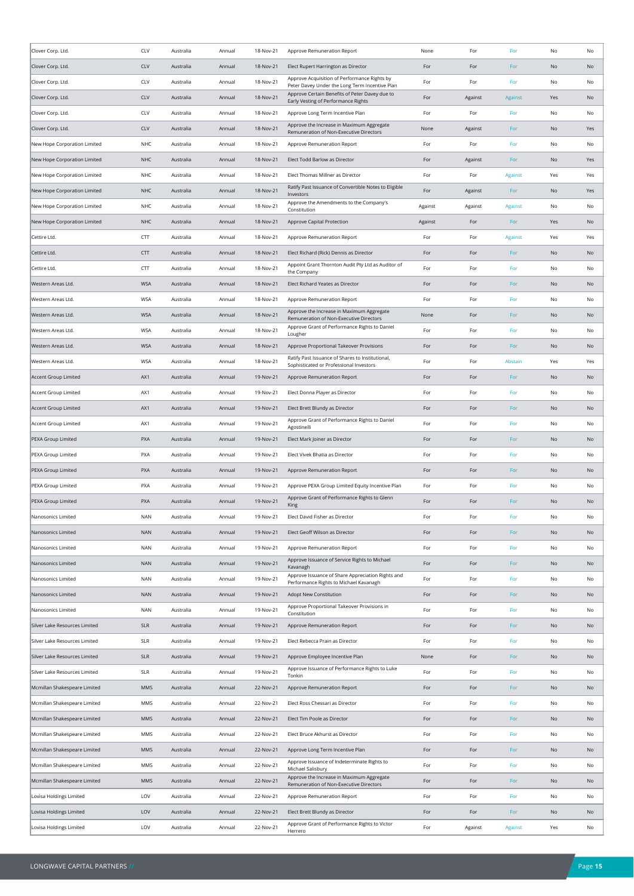| Clover Corp. Ltd.             | CLV        | Australia | Annual | 18-Nov-21 | Approve Remuneration Report                                                                    | None    | For     | For            | No  | No  |
|-------------------------------|------------|-----------|--------|-----------|------------------------------------------------------------------------------------------------|---------|---------|----------------|-----|-----|
| Clover Corp. Ltd.             | <b>CLV</b> | Australia | Annual | 18-Nov-21 | Elect Rupert Harrington as Director                                                            | For     | For     | For            | No  | No  |
| Clover Corp. Ltd.             | CLV        | Australia | Annual | 18-Nov-21 | Approve Acquisition of Performance Rights by<br>Peter Davey Under the Long Term Incentive Plan | For     | For     | For            | No  | No  |
| Clover Corp. Ltd.             | CLV        | Australia | Annual | 18-Nov-21 | Approve Certain Benefits of Peter Davey due to<br>Early Vesting of Performance Rights          | For     | Against | Against        | Yes | No  |
| Clover Corp. Ltd.             | CLV        | Australia | Annual | 18-Nov-21 | Approve Long Term Incentive Plan                                                               | For     | For     | For            | No  | No  |
| Clover Corp. Ltd.             | CLV        | Australia | Annual | 18-Nov-21 | Approve the Increase in Maximum Aggregate<br>Remuneration of Non-Executive Directors           | None    | Against | For            | No  | Yes |
| New Hope Corporation Limited  | <b>NHC</b> | Australia | Annual | 18-Nov-21 | Approve Remuneration Report                                                                    | For     | For     | For            | No  | No  |
| New Hope Corporation Limited  | <b>NHC</b> | Australia | Annual | 18-Nov-21 | Elect Todd Barlow as Director                                                                  | For     | Against | For            | No  | Yes |
| New Hope Corporation Limited  | NHC        | Australia | Annual | 18-Nov-21 | Elect Thomas Millner as Director                                                               | For     | For     | <b>Against</b> | Yes | Yes |
| New Hope Corporation Limited  | <b>NHC</b> | Australia | Annual | 18-Nov-21 | Ratify Past Issuance of Convertible Notes to Eligible<br>Investors                             | For     | Against | For            | No  | Yes |
| New Hope Corporation Limited  | <b>NHC</b> | Australia | Annual | 18-Nov-21 | Approve the Amendments to the Company's<br>Constitution                                        | Against | Against | Against        | No  | No  |
| New Hope Corporation Limited  | <b>NHC</b> | Australia | Annual | 18-Nov-21 | Approve Capital Protection                                                                     | Against | For     | For            | Yes | No  |
| Cettire Ltd.                  | CTT        | Australia | Annual | 18-Nov-21 | Approve Remuneration Report                                                                    | For     | For     | Against        | Yes | Yes |
| Cettire Ltd.                  | <b>CTT</b> | Australia | Annual | 18-Nov-21 | Elect Richard (Rick) Dennis as Director                                                        | For     | For     | For            | No  | No  |
| Cettire Ltd.                  | CTT        | Australia | Annual | 18-Nov-21 | Appoint Grant Thornton Audit Pty Ltd as Auditor of<br>the Company                              | For     | For     | For            | No  | No  |
| Western Areas Ltd.            | <b>WSA</b> | Australia | Annual | 18-Nov-21 | Elect Richard Yeates as Director                                                               | For     | For     | For            | No  | No  |
| Western Areas Ltd.            | <b>WSA</b> | Australia | Annual | 18-Nov-21 | Approve Remuneration Report                                                                    | For     | For     | For            | No  | No  |
| Western Areas Ltd.            | <b>WSA</b> | Australia | Annual | 18-Nov-21 | Approve the Increase in Maximum Aggregate                                                      | None    | For     | For            | No  | No  |
| Western Areas Ltd.            | <b>WSA</b> | Australia | Annual | 18-Nov-21 | Remuneration of Non-Executive Directors<br>Approve Grant of Performance Rights to Daniel       | For     | For     | For            | No  | No  |
| Western Areas Ltd.            | <b>WSA</b> | Australia | Annual | 18-Nov-21 | Lougher<br>Approve Proportional Takeover Provisions                                            | For     | For     | For            | No  | No  |
| Western Areas Ltd.            | <b>WSA</b> | Australia | Annual | 18-Nov-21 | Ratify Past Issuance of Shares to Institutional,                                               | For     | For     | Abstain        | Yes | Yes |
| Accent Group Limited          | AX1        | Australia | Annual | 19-Nov-21 | Sophisticated or Professional Investors<br>Approve Remuneration Report                         | For     | For     | For            | No  | No  |
| Accent Group Limited          | AX1        | Australia | Annual | 19-Nov-21 | Elect Donna Player as Director                                                                 | For     | For     | For            | No  | No  |
| Accent Group Limited          | AX1        | Australia | Annual | 19-Nov-21 | Elect Brett Blundy as Director                                                                 | For     | For     | For            | No  | No  |
| Accent Group Limited          | AX1        | Australia | Annual | 19-Nov-21 | Approve Grant of Performance Rights to Daniel                                                  | For     | For     | For            | No  | No  |
| PEXA Group Limited            | PXA        | Australia | Annual | 19-Nov-21 | Agostinelli<br>Elect Mark Joiner as Director                                                   | For     | For     | For            | No  | No  |
| PEXA Group Limited            | PXA        | Australia | Annual | 19-Nov-21 | Elect Vivek Bhatia as Director                                                                 | For     | For     | For            | No  | No  |
| PEXA Group Limited            | <b>PXA</b> | Australia | Annual | 19-Nov-21 | Approve Remuneration Report                                                                    | For     | For     | For            | No  | No  |
| PEXA Group Limited            | PXA        | Australia | Annual | 19-Nov-21 | Approve PEXA Group Limited Equity Incentive Plan                                               | For     | For     | For            | No  | No  |
| PEXA Group Limited            | <b>PXA</b> | Australia | Annual | 19-Nov-21 | Approve Grant of Performance Rights to Glenn                                                   | For     | For     | For            | No  | No  |
| Nanosonics Limited            | <b>NAN</b> | Australia | Annual | 19-Nov-21 | King<br>Elect David Fisher as Director                                                         | For     | For     | For            | No  | No  |
| Nanosonics Limited            | <b>NAN</b> | Australia | Annual | 19-Nov-21 | Elect Geoff Wilson as Director                                                                 | For     | For     | For            | No  | No  |
| Nanosonics Limited            | <b>NAN</b> | Australia | Annual | 19-Nov-21 | Approve Remuneration Report                                                                    | For     | For     | For            | No  | No  |
| Nanosonics Limited            | <b>NAN</b> | Australia | Annual | 19-Nov-21 | Approve Issuance of Service Rights to Michael                                                  | For     | For     | For            | No  | No  |
| Nanosonics Limited            | <b>NAN</b> | Australia | Annual | 19-Nov-21 | Kavanagh<br>Approve Issuance of Share Appreciation Rights and                                  | For     | For     | For            | No  | No  |
| Nanosonics Limited            | <b>NAN</b> | Australia | Annual | 19-Nov-21 | Performance Rights to Michael Kavanagh<br>Adopt New Constitution                               | For     | For     | For            | No  | No  |
| Nanosonics Limited            | <b>NAN</b> | Australia | Annual | 19-Nov-21 | Approve Proportional Takeover Provisions in                                                    | For     | For     | For            | No  | No  |
| Silver Lake Resources Limited |            |           |        |           | Constitution                                                                                   |         |         |                |     |     |
|                               | <b>SLR</b> | Australia | Annual | 19-Nov-21 | Approve Remuneration Report                                                                    | For     | For     | For            | No  | No  |
| Silver Lake Resources Limited | SLR        | Australia | Annual | 19-Nov-21 | Elect Rebecca Prain as Director                                                                | For     | For     | For            | No  | No  |
| Silver Lake Resources Limited | <b>SLR</b> | Australia | Annual | 19-Nov-21 | Approve Employee Incentive Plan<br>Approve Issuance of Performance Rights to Luke              | None    | For     | For            | No  | No  |
| Silver Lake Resources Limited | <b>SLR</b> | Australia | Annual | 19-Nov-21 | Tonkin                                                                                         | For     | For     | For            | No  | No  |
| Mcmillan Shakespeare Limited  | MMS        | Australia | Annual | 22-Nov-21 | Approve Remuneration Report                                                                    | For     | For     | For            | No  | No  |
| Mcmillan Shakespeare Limited  | MMS        | Australia | Annual | 22-Nov-21 | Elect Ross Chessari as Director                                                                | For     | For     | For            | No  | No  |
| Mcmillan Shakespeare Limited  | MMS        | Australia | Annual | 22-Nov-21 | Elect Tim Poole as Director                                                                    | For     | For     | For            | No  | No  |
| Mcmillan Shakespeare Limited  | MMS        | Australia | Annual | 22-Nov-21 | Elect Bruce Akhurst as Director                                                                | For     | For     | For            | No  | No  |
| Mcmillan Shakespeare Limited  | MMS        | Australia | Annual | 22-Nov-21 | Approve Long Term Incentive Plan<br>Approve Issuance of Indeterminate Rights to                | For     | For     | For            | No  | No  |
| Mcmillan Shakespeare Limited  | MMS        | Australia | Annual | 22-Nov-21 | Michael Salisbury<br>Approve the Increase in Maximum Aggregate                                 | For     | For     | For            | No  | No  |
| Mcmillan Shakespeare Limited  | MMS        | Australia | Annual | 22-Nov-21 | Remuneration of Non-Executive Directors                                                        | For     | For     | For            | No  | No  |
| Lovisa Holdings Limited       | LOV        | Australia | Annual | 22-Nov-21 | Approve Remuneration Report                                                                    | For     | For     | For            | No  | No  |
| Lovisa Holdings Limited       | LOV        | Australia | Annual | 22-Nov-21 | Elect Brett Blundy as Director                                                                 | For     | For     | For            | No  | No  |
| Lovisa Holdings Limited       | LOV        | Australia | Annual | 22-Nov-21 | Approve Grant of Performance Rights to Victor<br>Herrero                                       | For     | Against | Against        | Yes | No  |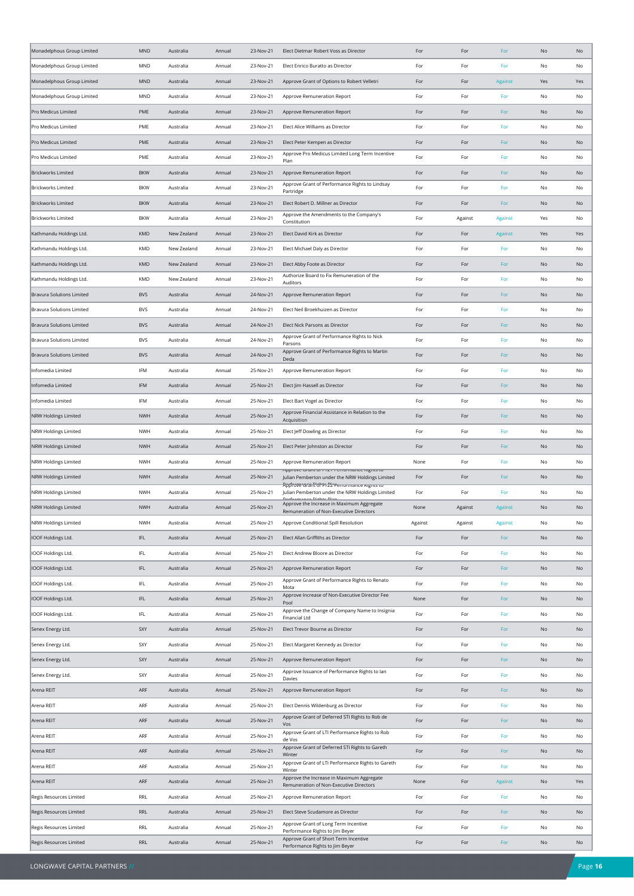| Monadelphous Group Limited       | <b>MND</b>        | Australia   | Annual | 23-Nov-21              | Elect Dietmar Robert Voss as Director                                                           | For            | For     | For            | No  | No       |
|----------------------------------|-------------------|-------------|--------|------------------------|-------------------------------------------------------------------------------------------------|----------------|---------|----------------|-----|----------|
| Monadelphous Group Limited       | MND               | Australia   | Annual | 23-Nov-21              | Elect Enrico Buratto as Director                                                                | For            | For     | For            | No  | No       |
| Monadelphous Group Limited       | <b>MND</b>        | Australia   | Annual | 23-Nov-21              | Approve Grant of Options to Robert Velletri                                                     | For            | For     | Against        | Yes | Yes      |
| Monadelphous Group Limited       | MND               | Australia   | Annual | 23-Nov-21              | Approve Remuneration Report                                                                     | For            | For     | For            | No  | No       |
| Pro Medicus Limited              | PME               | Australia   | Annual | 23-Nov-21              | Approve Remuneration Report                                                                     | For            | For     | For            | No  | No       |
| Pro Medicus Limited              | PME               | Australia   | Annual | 23-Nov-21              | Elect Alice Williams as Director                                                                | For            | For     | For            | No  | No       |
| Pro Medicus Limited              | PME               | Australia   | Annual | 23-Nov-21              | Elect Peter Kempen as Director                                                                  | For            | For     | For            | No  | No       |
| Pro Medicus Limited              | PME               | Australia   | Annual | 23-Nov-21              | Approve Pro Medicus Limited Long Term Incentive<br>Plan                                         | For            | For     | For            | No  | No       |
| <b>Brickworks Limited</b>        | <b>BKW</b>        | Australia   | Annual | 23-Nov-21              | Approve Remuneration Report                                                                     | For            | For     | For            | No  | No       |
| <b>Brickworks Limited</b>        | <b>BKW</b>        | Australia   | Annual | 23-Nov-21              | Approve Grant of Performance Rights to Lindsay<br>Partridge                                     | For            | For     | For            | No  | No       |
| <b>Brickworks Limited</b>        | <b>BKW</b>        | Australia   | Annual | 23-Nov-21              | Elect Robert D. Millner as Director                                                             | For            | For     | For            | No  | No       |
| <b>Brickworks Limited</b>        | <b>BKW</b>        | Australia   | Annual | 23-Nov-21              | Approve the Amendments to the Company's<br>Constitution                                         | For            | Against | Against        | Yes | No       |
| Kathmandu Holdings Ltd.          | <b>KMD</b>        | New Zealand | Annual | 23-Nov-21              | Elect David Kirk as Director                                                                    | For            | For     | <b>Against</b> | Yes | Yes      |
| Kathmandu Holdings Ltd.          | KMD               | New Zealand | Annual | 23-Nov-21              | Elect Michael Daly as Director                                                                  | For            | For     | For            | No  | No       |
| Kathmandu Holdings Ltd.          | KMD               | New Zealand | Annual | 23-Nov-21              | Elect Abby Foote as Director                                                                    | For            | For     | For            | No  | No       |
| Kathmandu Holdings Ltd.          | KMD               | New Zealand | Annual | 23-Nov-21              | Authorize Board to Fix Remuneration of the                                                      | For            | For     | For            | No  | No       |
| <b>Bravura Solutions Limited</b> | <b>BVS</b>        | Australia   | Annual | 24-Nov-21              | Auditors<br>Approve Remuneration Report                                                         | For            | For     | For            | No  | No       |
| <b>Bravura Solutions Limited</b> | <b>BVS</b>        | Australia   | Annual | 24-Nov-21              | Elect Neil Broekhuizen as Director                                                              | For            | For     | For            | No  | No       |
| Bravura Solutions Limited        | <b>BVS</b>        | Australia   | Annual | 24-Nov-21              | Elect Nick Parsons as Director                                                                  | For            | For     | For            | No  | No       |
| <b>Bravura Solutions Limited</b> | <b>BVS</b>        | Australia   | Annual | 24-Nov-21              | Approve Grant of Performance Rights to Nick                                                     | For            | For     | For            | No  | No       |
| Bravura Solutions Limited        | <b>BVS</b>        | Australia   | Annual | 24-Nov-21              | Parsons<br>Approve Grant of Performance Rights to Martin                                        | For            | For     | For            | No  | No       |
| Infomedia Limited                | IFM               | Australia   | Annual | 25-Nov-21              | Deda<br>Approve Remuneration Report                                                             | For            | For     | For            | No  | No       |
| Infomedia Limited                | IFM               | Australia   | Annual | 25-Nov-21              | Elect Jim Hassell as Director                                                                   | For            | For     | For            | No  | No       |
| Infomedia Limited                | IFM               | Australia   | Annual | 25-Nov-21              | Elect Bart Vogel as Director                                                                    | For            | For     | For            | No  | No       |
| NRW Holdings Limited             | <b>NWH</b>        | Australia   | Annual | 25-Nov-21              | Approve Financial Assistance in Relation to the                                                 | For            | For     | For            | No  | No       |
| <b>NRW Holdings Limited</b>      | <b>NWH</b>        | Australia   | Annual | 25-Nov-21              | Acquisition<br>Elect Jeff Dowling as Director                                                   | For            | For     | For            | No  | No       |
| NRW Holdings Limited             | <b>NWH</b>        | Australia   | Annual | 25-Nov-21              | Elect Peter Johnston as Director                                                                | For            | For     | For            | No  | No       |
| NRW Holdings Limited             | <b>NWH</b>        | Australia   | Annual | 25-Nov-21              | Approve Remuneration Report                                                                     | None           | For     | For            | No  | No       |
| <b>NRW Holdings Limited</b>      | <b>NWH</b>        | Australia   | Annual | 25-Nov-21              | אףףוטעל שופות טו דובו דלווטוווופותל ועצות ער<br>Julian Pemberton under the NRW Holdings Limited | For            | For     | For            | No  | No       |
| NRW Holdings Limited             | <b>NWH</b>        | Australia   | Annual | 25-Nov-21              | Ropfrove and Rights Planer romance wants to<br>Julian Pemberton under the NRW Holdings Limited  | For            | For     | For            | No  | No       |
| <b>NRW Holdings Limited</b>      | <b>NWH</b>        | Australia   | Annual | 25-Nov-21              | Dorformanco Diabte Dlan<br>Approve the Increase in Maximum Aggregate                            | None           | Against | Against        | No  | No       |
|                                  |                   |             |        |                        | Remuneration of Non-Executive Directors                                                         |                |         |                |     |          |
| NRW Holdings Limited             | <b>NWH</b><br>IFL | Australia   | Annual | 25-Nov-21<br>25-Nov-21 | Approve Conditional Spill Resolution<br>Elect Allan Griffiths as Director                       | Against<br>For | Against | Against        | No  | No<br>No |
| IOOF Holdings Ltd.               |                   | Australia   | Annual |                        |                                                                                                 |                | For     | For            | No  |          |
| IOOF Holdings Ltd.               | IFL               | Australia   | Annual | 25-Nov-21              | Elect Andrew Bloore as Director                                                                 | For            | For     | For            | No  | No       |
| IOOF Holdings Ltd.               | IFL               | Australia   | Annual | 25-Nov-21              | Approve Remuneration Report<br>Approve Grant of Performance Rights to Renato                    | For            | For     | For            | No  | No       |
| IOOF Holdings Ltd.               | IFL               | Australia   | Annual | 25-Nov-21              | Mota<br>Approve Increase of Non-Executive Director Fee                                          | For            | For     | For            | No  | No       |
| IOOF Holdings Ltd.               | IFL               | Australia   | Annual | 25-Nov-21              | Pool<br>Approve the Change of Company Name to Insignia                                          | None           | For     | For            | No  | No       |
| IOOF Holdings Ltd.               | IFL               | Australia   | Annual | 25-Nov-21              | Financial Ltd                                                                                   | For            | For     | For            | No  | No       |
| Senex Energy Ltd.                | SXY               | Australia   | Annual | 25-Nov-21              | Elect Trevor Bourne as Director                                                                 | For            | For     | For            | No  | No       |
| Senex Energy Ltd.                | SXY               | Australia   | Annual | 25-Nov-21              | Elect Margaret Kennedy as Director                                                              | For            | For     | For            | No  | No       |
| Senex Energy Ltd.                | SXY               | Australia   | Annual | 25-Nov-21              | Approve Remuneration Report<br>Approve Issuance of Performance Rights to lan                    | For            | For     | For            | No  | No       |
| Senex Energy Ltd.                | SXY               | Australia   | Annual | 25-Nov-21              | Davies                                                                                          | For            | For     | For            | No  | No       |
| Arena REIT                       | ARF               | Australia   | Annual | 25-Nov-21              | Approve Remuneration Report                                                                     | For            | For     | For            | No  | No       |
| Arena REIT                       | ARF               | Australia   | Annual | 25-Nov-21              | Elect Dennis Wildenburg as Director<br>Approve Grant of Deferred STI Rights to Rob de           | For            | For     | For            | No  | No       |
| Arena REIT                       | ARF               | Australia   | Annual | 25-Nov-21              | Vos<br>Approve Grant of LTI Performance Rights to Rob                                           | For            | For     | For            | No  | No       |
| Arena REIT                       | ARF               | Australia   | Annual | 25-Nov-21              | de Vos<br>Approve Grant of Deferred STI Rights to Gareth                                        | For            | For     | For            | No  | No       |
| Arena REIT                       | ARF               | Australia   | Annual | 25-Nov-21              | Winter<br>Approve Grant of LTI Performance Rights to Gareth                                     | For            | For     | For            | No  | No       |
| Arena REIT                       | ARF               | Australia   | Annual | 25-Nov-21              | Winter                                                                                          | For            | For     | For            | No  | No       |
| Arena REIT                       | ARF               | Australia   | Annual | 25-Nov-21              | Approve the Increase in Maximum Aggregate<br>Remuneration of Non-Executive Directors            | None           | For     | Against        | No  | Yes      |
| Regis Resources Limited          | RRL               | Australia   | Annual | 25-Nov-21              | Approve Remuneration Report                                                                     | For            | For     | For            | No  | No       |
| Regis Resources Limited          | RRL               | Australia   | Annual | 25-Nov-21              | Elect Steve Scudamore as Director<br>Approve Grant of Long Term Incentive                       | For            | For     | For            | No  | No       |
| Regis Resources Limited          | RRL               | Australia   | Annual | 25-Nov-21              | Performance Rights to Jim Beyer                                                                 | For            | For     | For            | No  | No       |
| Regis Resources Limited          | RRL               | Australia   | Annual | 25-Nov-21              | Approve Grant of Short Term Incentive<br>Performance Rights to Jim Beyer                        | For            | For     | For            | No  | No       |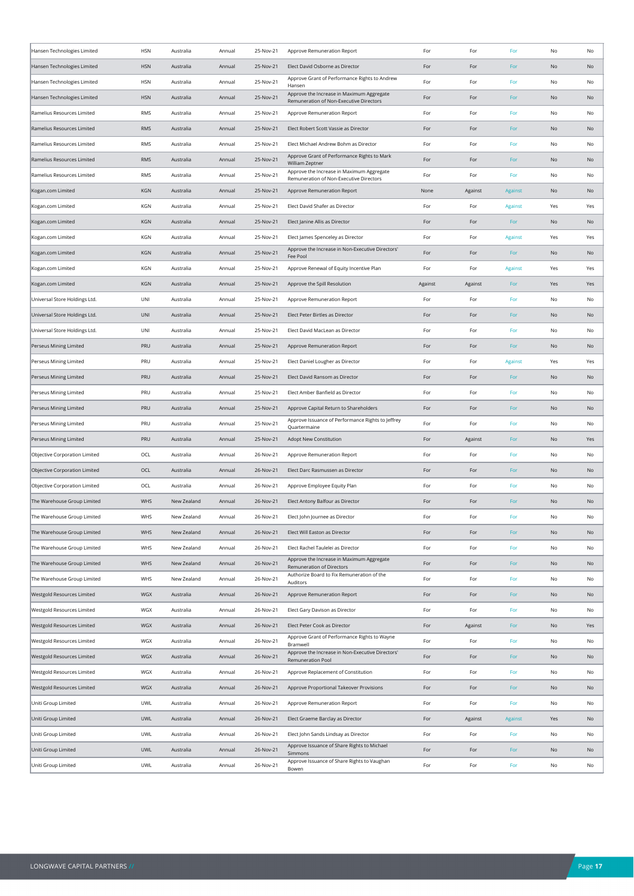| Hansen Technologies Limited   | <b>HSN</b> | Australia   | Annual | 25-Nov-21 | Approve Remuneration Report                                                          | For     | For     | For     | No  | No  |
|-------------------------------|------------|-------------|--------|-----------|--------------------------------------------------------------------------------------|---------|---------|---------|-----|-----|
| Hansen Technologies Limited   | <b>HSN</b> | Australia   | Annual | 25-Nov-21 | Elect David Osborne as Director                                                      | For     | For     | For     | No  | No  |
| Hansen Technologies Limited   | <b>HSN</b> | Australia   | Annual | 25-Nov-21 | Approve Grant of Performance Rights to Andrew<br>Hansen                              | For     | For     | For     | No  | No  |
| Hansen Technologies Limited   | <b>HSN</b> | Australia   | Annual | 25-Nov-21 | Approve the Increase in Maximum Aggregate<br>Remuneration of Non-Executive Directors | For     | For     | For     | No  | No  |
| Ramelius Resources Limited    | <b>RMS</b> | Australia   | Annual | 25-Nov-21 | Approve Remuneration Report                                                          | For     | For     | For     | No  | No  |
| Ramelius Resources Limited    | <b>RMS</b> | Australia   | Annual | 25-Nov-21 | Elect Robert Scott Vassie as Director                                                | For     | For     | For     | No  | No  |
| Ramelius Resources Limited    | <b>RMS</b> | Australia   | Annual | 25-Nov-21 | Elect Michael Andrew Bohm as Director                                                | For     | For     | For     | No  | No  |
| Ramelius Resources Limited    | <b>RMS</b> | Australia   | Annual | 25-Nov-21 | Approve Grant of Performance Rights to Mark<br>William Zeptner                       | For     | For     | For     | No  | No  |
| Ramelius Resources Limited    | RMS        | Australia   | Annual | 25-Nov-21 | Approve the Increase in Maximum Aggregate<br>Remuneration of Non-Executive Directors | For     | For     | For     | No  | No  |
| Kogan.com Limited             | KGN        | Australia   | Annual | 25-Nov-21 | Approve Remuneration Report                                                          | None    | Against | Against | No  | No  |
| Kogan.com Limited             | KGN        | Australia   | Annual | 25-Nov-21 | Elect David Shafer as Director                                                       | For     | For     | Against | Yes | Yes |
| Kogan.com Limited             | KGN        | Australia   | Annual | 25-Nov-21 | Elect Janine Allis as Director                                                       | For     | For     | For     | No  | No  |
| Kogan.com Limited             | KGN        | Australia   | Annual | 25-Nov-21 | Elect James Spenceley as Director                                                    | For     | For     | Against | Yes | Yes |
| Kogan.com Limited             | KGN        | Australia   | Annual | 25-Nov-21 | Approve the Increase in Non-Executive Directors'<br>Fee Pool                         | For     | For     | For     | No  | No  |
| Kogan.com Limited             | KGN        | Australia   | Annual | 25-Nov-21 | Approve Renewal of Equity Incentive Plan                                             | For     | For     | Against | Yes | Yes |
| Kogan.com Limited             | KGN        | Australia   | Annual | 25-Nov-21 | Approve the Spill Resolution                                                         | Against | Against | For     | Yes | Yes |
| Universal Store Holdings Ltd. | UNI        | Australia   | Annual | 25-Nov-21 | Approve Remuneration Report                                                          | For     | For     | For     | No  | No  |
| Universal Store Holdings Ltd. | UNI        | Australia   | Annual | 25-Nov-21 | Elect Peter Birtles as Director                                                      | For     | For     | For     | No  | No  |
| Universal Store Holdings Ltd. | UNI        | Australia   | Annual | 25-Nov-21 | Elect David MacLean as Director                                                      | For     | For     | For     | No  | No  |
| Perseus Mining Limited        | PRU        | Australia   | Annual | 25-Nov-21 | Approve Remuneration Report                                                          | For     | For     | For     | No  | No  |
| Perseus Mining Limited        | PRU        | Australia   | Annual | 25-Nov-21 | Elect Daniel Lougher as Director                                                     | For     | For     | Against | Yes | Yes |
| Perseus Mining Limited        | PRU        | Australia   | Annual | 25-Nov-21 | Elect David Ransom as Director                                                       | For     | For     | For     | No  | No  |
| Perseus Mining Limited        | PRU        | Australia   | Annual | 25-Nov-21 | Elect Amber Banfield as Director                                                     | For     | For     | For     | No  | No  |
| Perseus Mining Limited        | PRU        | Australia   | Annual | 25-Nov-21 | Approve Capital Return to Shareholders                                               | For     | For     | For     | No  | No  |
| Perseus Mining Limited        | PRU        | Australia   | Annual | 25-Nov-21 | Approve Issuance of Performance Rights to Jeffrey<br>Quartermaine                    | For     | For     | For     | No  | No  |
| Perseus Mining Limited        | PRU        | Australia   | Annual | 25-Nov-21 | Adopt New Constitution                                                               | For     | Against | For     | No  | Yes |
| Objective Corporation Limited | OCL        | Australia   | Annual | 26-Nov-21 | Approve Remuneration Report                                                          | For     | For     | For     | No  | No  |
| Objective Corporation Limited | OCL        | Australia   | Annual | 26-Nov-21 | Elect Darc Rasmussen as Director                                                     | For     | For     | For     | No  | No  |
| Objective Corporation Limited | OCL        | Australia   | Annual | 26-Nov-21 | Approve Employee Equity Plan                                                         | For     | For     | For     | No  | No  |
| The Warehouse Group Limited   | WHS        | New Zealand | Annual | 26-Nov-21 | Elect Antony Balfour as Director                                                     | For     | For     | For     | No  | No  |
| The Warehouse Group Limited   | WHS        | New Zealand | Annual | 26-Nov-21 | Elect John Journee as Director                                                       | For     | For     | For     | No  | No  |
| The Warehouse Group Limited   | WHS        | New Zealand | Annual | 26-Nov-21 | Elect Will Easton as Director                                                        | For     | For     | For     | No  | No  |
| The Warehouse Group Limited   | WHS        | New Zealand | Annual | 26-Nov-21 | Elect Rachel Taulelei as Director                                                    | For     | For     | For     | No  | No  |
| The Warehouse Group Limited   | WHS        | New Zealand | Annual | 26-Nov-21 | Approve the Increase in Maximum Aggregate<br><b>Remuneration of Directors</b>        | For     | For     | For     | No  | No  |
| The Warehouse Group Limited   | WHS        | New Zealand | Annual | 26-Nov-21 | Authorize Board to Fix Remuneration of the<br>Auditors                               | For     | For     | For     | No  | No  |
| Westgold Resources Limited    | WGX        | Australia   | Annual | 26-Nov-21 | Approve Remuneration Report                                                          | For     | For     | For     | No  | No  |
| Westgold Resources Limited    | WGX        | Australia   | Annual | 26-Nov-21 | Elect Gary Davison as Director                                                       | For     | For     | For     | No  | No  |
| Westgold Resources Limited    | WGX        | Australia   | Annual | 26-Nov-21 | Elect Peter Cook as Director                                                         | For     | Against | For     | No  | Yes |
| Westgold Resources Limited    | WGX        | Australia   | Annual | 26-Nov-21 | Approve Grant of Performance Rights to Wayne<br>Bramwell                             | For     | For     | For     | No  | No  |
| Westgold Resources Limited    | WGX        | Australia   | Annual | 26-Nov-21 | Approve the Increase in Non-Executive Directors'<br>Remuneration Pool                | For     | For     | For     | No  | No  |
| Westgold Resources Limited    | WGX        | Australia   | Annual | 26-Nov-21 | Approve Replacement of Constitution                                                  | For     | For     | For     | No  | No  |
| Westgold Resources Limited    | WGX        | Australia   | Annual | 26-Nov-21 | Approve Proportional Takeover Provisions                                             | For     | For     | For     | No  | No  |
| Uniti Group Limited           | <b>UWL</b> | Australia   | Annual | 26-Nov-21 | Approve Remuneration Report                                                          | For     | For     | For     | No  | No  |
| Uniti Group Limited           | UWL        | Australia   | Annual | 26-Nov-21 | Elect Graeme Barclay as Director                                                     | For     | Against | Against | Yes | No  |
| Uniti Group Limited           | UWL        | Australia   | Annual | 26-Nov-21 | Elect John Sands Lindsay as Director                                                 | For     | For     | For     | No  | No  |
| Uniti Group Limited           | <b>UWL</b> | Australia   | Annual | 26-Nov-21 | Approve Issuance of Share Rights to Michael<br>Simmons                               | For     | For     | For     | No  | No  |
| Uniti Group Limited           | <b>UWL</b> | Australia   | Annual | 26-Nov-21 | Approve Issuance of Share Rights to Vaughan<br>Bowen                                 | For     | For     | For     | No  | No  |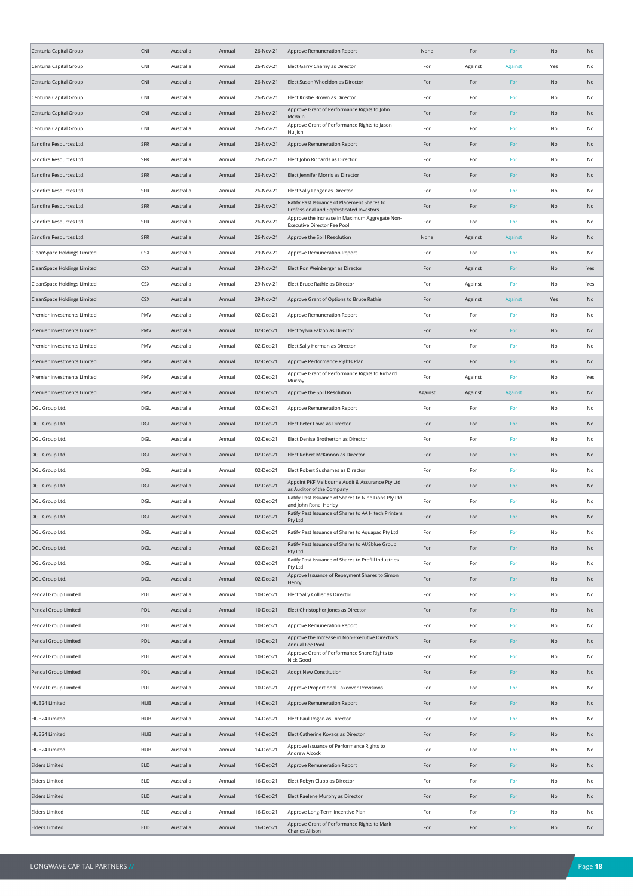| Centuria Capital Group      | <b>CNI</b> | Australia | Annual | 26-Nov-21 | Approve Remuneration Report                                                                          | None    | For     | For                           | No            | No  |
|-----------------------------|------------|-----------|--------|-----------|------------------------------------------------------------------------------------------------------|---------|---------|-------------------------------|---------------|-----|
| Centuria Capital Group      | CNI        | Australia | Annual | 26-Nov-21 | Elect Garry Charny as Director                                                                       | For     | Against | <b>Against</b>                | Yes           | No  |
| Centuria Capital Group      | <b>CNI</b> | Australia | Annual | 26-Nov-21 | Elect Susan Wheeldon as Director                                                                     | For     | For     | For                           | No            | No  |
| Centuria Capital Group      | CNI        | Australia | Annual | 26-Nov-21 | Elect Kristie Brown as Director                                                                      | For     | For     | For                           | No            | No  |
| Centuria Capital Group      | <b>CNI</b> | Australia | Annual | 26-Nov-21 | Approve Grant of Performance Rights to John<br>McBain                                                | For     | For     | For                           | No            | No  |
| Centuria Capital Group      | CNI        | Australia | Annual | 26-Nov-21 | Approve Grant of Performance Rights to Jason<br>Huljich                                              | For     | For     | For                           | No            | No  |
| Sandfire Resources Ltd.     | <b>SFR</b> | Australia | Annual | 26-Nov-21 | Approve Remuneration Report                                                                          | For     | For     | For                           | No            | No  |
| Sandfire Resources Ltd.     | SFR        | Australia | Annual | 26-Nov-21 | Elect John Richards as Director                                                                      | For     | For     | For                           | No            | No  |
| Sandfire Resources Ltd.     | <b>SFR</b> | Australia | Annual | 26-Nov-21 | Elect Jennifer Morris as Director                                                                    | For     | For     | For                           | No            | No  |
| Sandfire Resources Ltd.     | SFR        | Australia | Annual | 26-Nov-21 | Elect Sally Langer as Director                                                                       | For     | For     | For                           | No            | No  |
| Sandfire Resources Ltd.     | <b>SFR</b> | Australia | Annual | 26-Nov-21 | Ratify Past Issuance of Placement Shares to                                                          | For     | For     | For                           | No            | No  |
| Sandfire Resources Ltd.     | SFR        | Australia | Annual | 26-Nov-21 | Professional and Sophisticated Investors<br>Approve the Increase in Maximum Aggregate Non-           | For     | For     | For                           | No            | No  |
| Sandfire Resources Ltd.     | <b>SFR</b> | Australia | Annual | 26-Nov-21 | Executive Director Fee Pool<br>Approve the Spill Resolution                                          | None    | Against | Against                       | No            | No  |
| CleanSpace Holdings Limited | <b>CSX</b> | Australia | Annual | 29-Nov-21 | Approve Remuneration Report                                                                          | For     | For     | For                           | No            | No  |
| CleanSpace Holdings Limited | <b>CSX</b> | Australia | Annual | 29-Nov-21 | Elect Ron Weinberger as Director                                                                     | For     | Against | For                           | No            | Yes |
| CleanSpace Holdings Limited | <b>CSX</b> | Australia | Annual | 29-Nov-21 | Elect Bruce Rathie as Director                                                                       | For     | Against | For                           | No            | Yes |
| CleanSpace Holdings Limited | <b>CSX</b> | Australia | Annual | 29-Nov-21 | Approve Grant of Options to Bruce Rathie                                                             | For     | Against | Against                       | Yes           | No  |
| Premier Investments Limited | PMV        | Australia | Annual | 02-Dec-21 | Approve Remuneration Report                                                                          | For     | For     | For                           | No            | No  |
| Premier Investments Limited | PMV        | Australia | Annual | 02-Dec-21 | Elect Sylvia Falzon as Director                                                                      | For     | For     | For                           | No            | No  |
| Premier Investments Limited | PMV        | Australia | Annual | 02-Dec-21 | Elect Sally Herman as Director                                                                       | For     | For     | For                           | No            | No  |
| Premier Investments Limited | PMV        | Australia | Annual | 02-Dec-21 | Approve Performance Rights Plan                                                                      | For     | For     | For                           | No            | No  |
|                             | PMV        |           |        | 02-Dec-21 | Approve Grant of Performance Rights to Richard                                                       | For     |         |                               |               |     |
| Premier Investments Limited |            | Australia | Annual |           | Murray                                                                                               |         | Against | For                           | No            | Yes |
| Premier Investments Limited | PMV        | Australia | Annual | 02-Dec-21 | Approve the Spill Resolution                                                                         | Against | Against | Against                       | No            | No  |
| DGL Group Ltd.              | DGL        | Australia | Annual | 02-Dec-21 | Approve Remuneration Report                                                                          | For     | For     | For                           | No            | No  |
| DGL Group Ltd.              | DGL        | Australia | Annual | 02-Dec-21 | Elect Peter Lowe as Director                                                                         | For     | For     | For                           | No            | No  |
| DGL Group Ltd.              | DGL        | Australia | Annual | 02-Dec-21 | Elect Denise Brotherton as Director                                                                  | For     | For     | For                           | No            | No  |
| DGL Group Ltd.              | DGL        | Australia | Annual | 02-Dec-21 | Elect Robert McKinnon as Director                                                                    | For     | For     | For                           | No            | No  |
| DGL Group Ltd.              | DGL        | Australia | Annual | 02-Dec-21 | Elect Robert Sushames as Director<br>Appoint PKF Melbourne Audit & Assurance Pty Ltd                 | For     | For     | For                           | No            | No  |
| DGL Group Ltd.              | DGL        | Australia | Annual | 02-Dec-21 | as Auditor of the Company<br>Ratify Past Issuance of Shares to Nine Lions Pty Ltd                    | For     | For     | For                           | No            | No  |
| DGL Group Ltd.              | DGL        | Australia | Annual | 02-Dec-21 | and John Ronal Horley<br>Ratify Past Issuance of Shares to AA Hitech Printers                        | For     | For     | For                           | No            | No  |
| DGL Group Ltd.              | DGL        | Australia | Annual | 02-Dec-21 | Ρτγ Ltd                                                                                              | For     | For     | For                           | No            | No  |
| DGL Group Ltd.              | DGL        | Australia | Annual | 02-Dec-21 | Ratify Past Issuance of Shares to Aquapac Pty Ltd<br>Ratify Past Issuance of Shares to AUSblue Group | For     | For     | For                           | No            | No  |
| DGL Group Ltd.              | DGL        | Australia | Annual | 02-Dec-21 | Pty Ltd                                                                                              | For     | For     | For                           | No            | No  |
| DGL Group Ltd.              | DGL        | Australia | Annual | 02-Dec-21 | Ratify Past Issuance of Shares to Profill Industries<br>Pty Ltd                                      | For     | For     | For                           | No            | No  |
| DGL Group Ltd.              | DGL        | Australia | Annual | 02-Dec-21 | Approve Issuance of Repayment Shares to Simon<br>Henry                                               | For     | For     | For                           | No            | No  |
| Pendal Group Limited        | PDL        | Australia | Annual | 10-Dec-21 | Elect Sally Collier as Director                                                                      | For     | For     | For                           | No            | No  |
| Pendal Group Limited        | PDL        | Australia | Annual | 10-Dec-21 | Elect Christopher Jones as Director                                                                  | For     | For     | For                           | No            | No  |
| Pendal Group Limited        | PDL        | Australia | Annual | 10-Dec-21 | Approve Remuneration Report                                                                          | For     | For     | For                           | No            | No  |
| Pendal Group Limited        | PDL        | Australia | Annual | 10-Dec-21 | Approve the Increase in Non-Executive Director's<br>Annual Fee Pool                                  | For     | For     | For                           | No            | No  |
| Pendal Group Limited        | PDL        | Australia | Annual | 10-Dec-21 | Approve Grant of Performance Share Rights to<br>Nick Good                                            | For     | For     | For                           | $\mathsf{No}$ | No  |
| Pendal Group Limited        | PDL        | Australia | Annual | 10-Dec-21 | Adopt New Constitution                                                                               | For     | For     | For                           | No            | No  |
| Pendal Group Limited        | PDL        | Australia | Annual | 10-Dec-21 | Approve Proportional Takeover Provisions                                                             | For     | For     | For                           | No            | No  |
| HUB24 Limited               | <b>HUB</b> | Australia | Annual | 14-Dec-21 | Approve Remuneration Report                                                                          | For     | For     | For                           | No            | No  |
| HUB24 Limited               | HUB        | Australia | Annual | 14-Dec-21 | Elect Paul Rogan as Director                                                                         | For     | For     | For                           | No            | No  |
| HUB24 Limited               | <b>HUB</b> | Australia | Annual | 14-Dec-21 | Elect Catherine Kovacs as Director                                                                   | For     | For     | For                           | No            | No  |
| HUB24 Limited               | HUB        | Australia | Annual | 14-Dec-21 | Approve Issuance of Performance Rights to<br>Andrew Alcock                                           | For     | For     | For                           | No            | No  |
| <b>Elders Limited</b>       | ELD        | Australia | Annual | 16-Dec-21 | Approve Remuneration Report                                                                          | For     | For     | For                           | No            | No  |
| <b>Elders Limited</b>       | ELD        | Australia | Annual | 16-Dec-21 | Elect Robyn Clubb as Director                                                                        | For     | For     | For                           | No            | No  |
| <b>Elders Limited</b>       | ELD        | Australia | Annual | 16-Dec-21 | Elect Raelene Murphy as Director                                                                     | For     | For     | For                           | No            | No  |
| <b>Elders Limited</b>       | ELD        | Australia | Annual | 16-Dec-21 | Approve Long-Term Incentive Plan                                                                     | For     | For     | For                           | No            | No  |
| <b>Elders Limited</b>       | ELD        | Australia | Annual | 16-Dec-21 | Approve Grant of Performance Rights to Mark<br>Charles Allison                                       | For     | For     | $\operatorname{\mathsf{For}}$ | No            | No  |